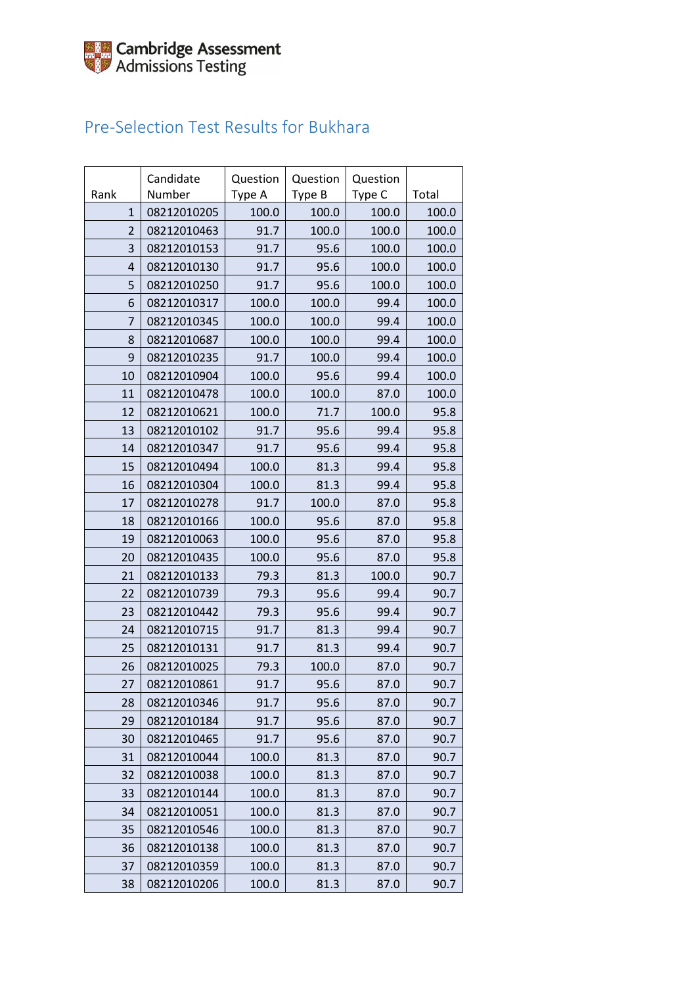## Pre-Selection Test Results for Bukhara

| Rank           | Candidate<br>Number | Question<br>Type A | Question<br>Type B | Question<br>Type C | Total |
|----------------|---------------------|--------------------|--------------------|--------------------|-------|
| $\mathbf{1}$   | 08212010205         | 100.0              | 100.0              | 100.0              | 100.0 |
| $\overline{2}$ | 08212010463         | 91.7               | 100.0              | 100.0              | 100.0 |
| 3              | 08212010153         | 91.7               | 95.6               | 100.0              | 100.0 |
| $\overline{4}$ | 08212010130         | 91.7               | 95.6               | 100.0              | 100.0 |
| 5              | 08212010250         | 91.7               | 95.6               | 100.0              | 100.0 |
| 6              | 08212010317         | 100.0              | 100.0              | 99.4               | 100.0 |
| 7              | 08212010345         | 100.0              | 100.0              | 99.4               | 100.0 |
| 8              | 08212010687         | 100.0              | 100.0              | 99.4               | 100.0 |
| 9              | 08212010235         | 91.7               | 100.0              | 99.4               | 100.0 |
| 10             | 08212010904         | 100.0              | 95.6               | 99.4               | 100.0 |
| 11             | 08212010478         | 100.0              | 100.0              | 87.0               | 100.0 |
| 12             | 08212010621         | 100.0              | 71.7               | 100.0              | 95.8  |
| 13             | 08212010102         | 91.7               | 95.6               | 99.4               | 95.8  |
| 14             | 08212010347         | 91.7               | 95.6               | 99.4               | 95.8  |
| 15             | 08212010494         | 100.0              | 81.3               | 99.4               | 95.8  |
| 16             | 08212010304         | 100.0              | 81.3               | 99.4               | 95.8  |
| 17             | 08212010278         | 91.7               | 100.0              | 87.0               | 95.8  |
| 18             | 08212010166         | 100.0              | 95.6               | 87.0               | 95.8  |
| 19             | 08212010063         | 100.0              | 95.6               | 87.0               | 95.8  |
| 20             | 08212010435         | 100.0              | 95.6               | 87.0               | 95.8  |
| 21             | 08212010133         | 79.3               | 81.3               | 100.0              | 90.7  |
| 22             | 08212010739         | 79.3               | 95.6               | 99.4               | 90.7  |
| 23             | 08212010442         | 79.3               | 95.6               | 99.4               | 90.7  |
| 24             | 08212010715         | 91.7               | 81.3               | 99.4               | 90.7  |
| 25             | 08212010131         | 91.7               | 81.3               | 99.4               | 90.7  |
| 26             | 08212010025         | 79.3               | 100.0              | 87.0               | 90.7  |
| 27             | 08212010861         | 91.7               | 95.6               | 87.0               | 90.7  |
| 28             | 08212010346         | 91.7               | 95.6               | 87.0               | 90.7  |
| 29             | 08212010184         | 91.7               | 95.6               | 87.0               | 90.7  |
| 30             | 08212010465         | 91.7               | 95.6               | 87.0               | 90.7  |
| 31             | 08212010044         | 100.0              | 81.3               | 87.0               | 90.7  |
| 32             | 08212010038         | 100.0              | 81.3               | 87.0               | 90.7  |
| 33             | 08212010144         | 100.0              | 81.3               | 87.0               | 90.7  |
| 34             | 08212010051         | 100.0              | 81.3               | 87.0               | 90.7  |
| 35             | 08212010546         | 100.0              | 81.3               | 87.0               | 90.7  |
| 36             | 08212010138         | 100.0              | 81.3               | 87.0               | 90.7  |
| 37             | 08212010359         | 100.0              | 81.3               | 87.0               | 90.7  |
| 38             | 08212010206         | 100.0              | 81.3               | 87.0               | 90.7  |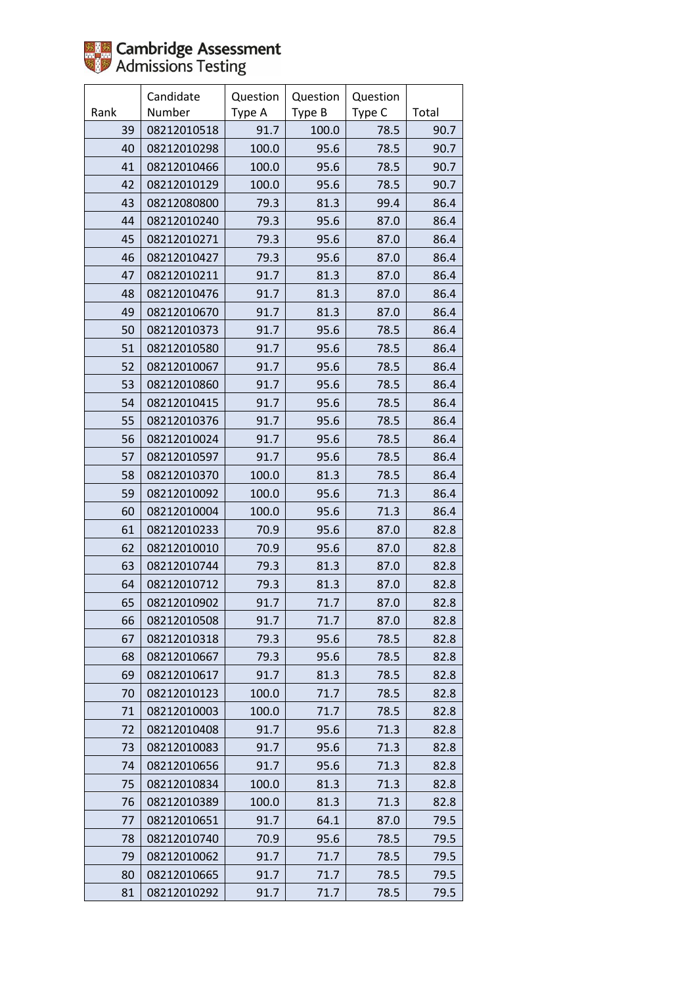

|      | Candidate   | Question | Question | Question |       |
|------|-------------|----------|----------|----------|-------|
| Rank | Number      | Type A   | Type B   | Type C   | Total |
| 39   | 08212010518 | 91.7     | 100.0    | 78.5     | 90.7  |
| 40   | 08212010298 | 100.0    | 95.6     | 78.5     | 90.7  |
| 41   | 08212010466 | 100.0    | 95.6     | 78.5     | 90.7  |
| 42   | 08212010129 | 100.0    | 95.6     | 78.5     | 90.7  |
| 43   | 08212080800 | 79.3     | 81.3     | 99.4     | 86.4  |
| 44   | 08212010240 | 79.3     | 95.6     | 87.0     | 86.4  |
| 45   | 08212010271 | 79.3     | 95.6     | 87.0     | 86.4  |
| 46   | 08212010427 | 79.3     | 95.6     | 87.0     | 86.4  |
| 47   | 08212010211 | 91.7     | 81.3     | 87.0     | 86.4  |
| 48   | 08212010476 | 91.7     | 81.3     | 87.0     | 86.4  |
| 49   | 08212010670 | 91.7     | 81.3     | 87.0     | 86.4  |
| 50   | 08212010373 | 91.7     | 95.6     | 78.5     | 86.4  |
| 51   | 08212010580 | 91.7     | 95.6     | 78.5     | 86.4  |
| 52   | 08212010067 | 91.7     | 95.6     | 78.5     | 86.4  |
| 53   | 08212010860 | 91.7     | 95.6     | 78.5     | 86.4  |
| 54   | 08212010415 | 91.7     | 95.6     | 78.5     | 86.4  |
| 55   | 08212010376 | 91.7     | 95.6     | 78.5     | 86.4  |
| 56   | 08212010024 | 91.7     | 95.6     | 78.5     | 86.4  |
| 57   | 08212010597 | 91.7     | 95.6     | 78.5     | 86.4  |
| 58   | 08212010370 | 100.0    | 81.3     | 78.5     | 86.4  |
| 59   | 08212010092 | 100.0    | 95.6     | 71.3     | 86.4  |
| 60   | 08212010004 | 100.0    | 95.6     | 71.3     | 86.4  |
| 61   | 08212010233 | 70.9     | 95.6     | 87.0     | 82.8  |
| 62   | 08212010010 | 70.9     | 95.6     | 87.0     | 82.8  |
| 63   | 08212010744 | 79.3     | 81.3     | 87.0     | 82.8  |
| 64   | 08212010712 | 79.3     | 81.3     | 87.0     | 82.8  |
| 65   | 08212010902 | 91.7     | 71.7     | 87.0     | 82.8  |
| 66   | 08212010508 | 91.7     | 71.7     | 87.0     | 82.8  |
| 67   | 08212010318 | 79.3     | 95.6     | 78.5     | 82.8  |
| 68   | 08212010667 | 79.3     | 95.6     | 78.5     | 82.8  |
| 69   | 08212010617 | 91.7     | 81.3     | 78.5     | 82.8  |
| 70   | 08212010123 | 100.0    | 71.7     | 78.5     | 82.8  |
| 71   | 08212010003 | 100.0    | 71.7     | 78.5     | 82.8  |
| 72   | 08212010408 | 91.7     | 95.6     | 71.3     | 82.8  |
| 73   | 08212010083 | 91.7     | 95.6     | 71.3     | 82.8  |
| 74   | 08212010656 | 91.7     | 95.6     | 71.3     | 82.8  |
| 75   | 08212010834 | 100.0    | 81.3     | 71.3     | 82.8  |
| 76   | 08212010389 | 100.0    | 81.3     | 71.3     | 82.8  |
| 77   | 08212010651 | 91.7     | 64.1     | 87.0     | 79.5  |
| 78   | 08212010740 | 70.9     | 95.6     | 78.5     | 79.5  |
| 79   | 08212010062 | 91.7     | 71.7     | 78.5     | 79.5  |
| 80   | 08212010665 | 91.7     | 71.7     | 78.5     | 79.5  |
| 81   | 08212010292 | 91.7     | 71.7     | 78.5     | 79.5  |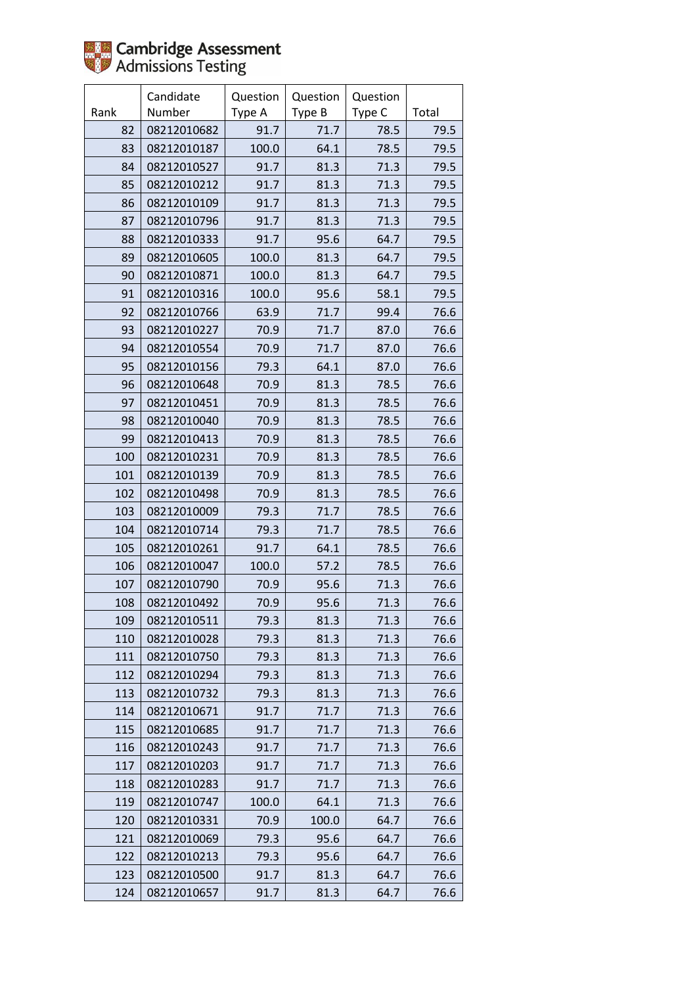

|      | Candidate   | Question | Question | Question |       |
|------|-------------|----------|----------|----------|-------|
| Rank | Number      | Type A   | Type B   | Type C   | Total |
| 82   | 08212010682 | 91.7     | 71.7     | 78.5     | 79.5  |
| 83   | 08212010187 | 100.0    | 64.1     | 78.5     | 79.5  |
| 84   | 08212010527 | 91.7     | 81.3     | 71.3     | 79.5  |
| 85   | 08212010212 | 91.7     | 81.3     | 71.3     | 79.5  |
| 86   | 08212010109 | 91.7     | 81.3     | 71.3     | 79.5  |
| 87   | 08212010796 | 91.7     | 81.3     | 71.3     | 79.5  |
| 88   | 08212010333 | 91.7     | 95.6     | 64.7     | 79.5  |
| 89   | 08212010605 | 100.0    | 81.3     | 64.7     | 79.5  |
| 90   | 08212010871 | 100.0    | 81.3     | 64.7     | 79.5  |
| 91   | 08212010316 | 100.0    | 95.6     | 58.1     | 79.5  |
| 92   | 08212010766 | 63.9     | 71.7     | 99.4     | 76.6  |
| 93   | 08212010227 | 70.9     | 71.7     | 87.0     | 76.6  |
| 94   | 08212010554 | 70.9     | 71.7     | 87.0     | 76.6  |
| 95   | 08212010156 | 79.3     | 64.1     | 87.0     | 76.6  |
| 96   | 08212010648 | 70.9     | 81.3     | 78.5     | 76.6  |
| 97   | 08212010451 | 70.9     | 81.3     | 78.5     | 76.6  |
| 98   | 08212010040 | 70.9     | 81.3     | 78.5     | 76.6  |
| 99   | 08212010413 | 70.9     | 81.3     | 78.5     | 76.6  |
| 100  | 08212010231 | 70.9     | 81.3     | 78.5     | 76.6  |
| 101  | 08212010139 | 70.9     | 81.3     | 78.5     | 76.6  |
| 102  | 08212010498 | 70.9     | 81.3     | 78.5     | 76.6  |
| 103  | 08212010009 | 79.3     | 71.7     | 78.5     | 76.6  |
| 104  | 08212010714 | 79.3     | 71.7     | 78.5     | 76.6  |
| 105  | 08212010261 | 91.7     | 64.1     | 78.5     | 76.6  |
| 106  | 08212010047 | 100.0    | 57.2     | 78.5     | 76.6  |
| 107  | 08212010790 | 70.9     | 95.6     | 71.3     | 76.6  |
| 108  | 08212010492 | 70.9     | 95.6     | 71.3     | 76.6  |
| 109  | 08212010511 | 79.3     | 81.3     | 71.3     | 76.6  |
| 110  | 08212010028 | 79.3     | 81.3     | 71.3     | 76.6  |
| 111  | 08212010750 | 79.3     | 81.3     | 71.3     | 76.6  |
| 112  | 08212010294 | 79.3     | 81.3     | 71.3     | 76.6  |
| 113  | 08212010732 | 79.3     | 81.3     | 71.3     | 76.6  |
| 114  | 08212010671 | 91.7     | 71.7     | 71.3     | 76.6  |
| 115  | 08212010685 | 91.7     | 71.7     | 71.3     | 76.6  |
| 116  | 08212010243 | 91.7     | 71.7     | 71.3     | 76.6  |
| 117  | 08212010203 | 91.7     | 71.7     | 71.3     | 76.6  |
| 118  | 08212010283 | 91.7     | 71.7     | 71.3     | 76.6  |
| 119  | 08212010747 | 100.0    | 64.1     | 71.3     | 76.6  |
| 120  | 08212010331 | 70.9     | 100.0    | 64.7     | 76.6  |
| 121  | 08212010069 | 79.3     | 95.6     | 64.7     | 76.6  |
| 122  | 08212010213 | 79.3     | 95.6     | 64.7     | 76.6  |
| 123  | 08212010500 | 91.7     | 81.3     | 64.7     | 76.6  |
| 124  | 08212010657 | 91.7     | 81.3     | 64.7     | 76.6  |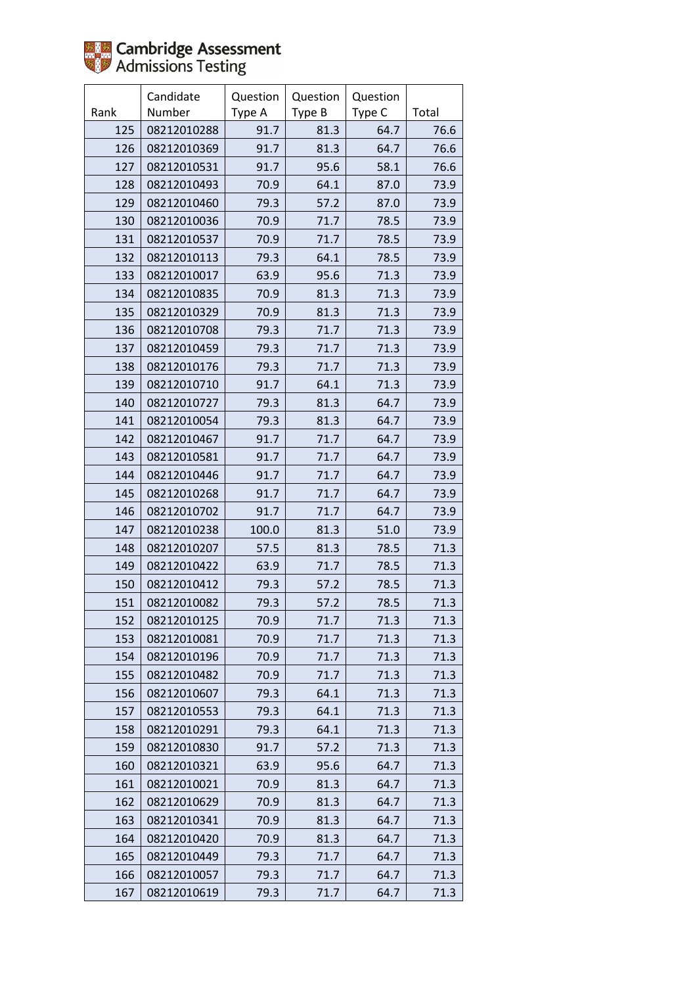|      | Candidate   | Question | Question | Question |       |
|------|-------------|----------|----------|----------|-------|
| Rank | Number      | Type A   | Type B   | Type C   | Total |
| 125  | 08212010288 | 91.7     | 81.3     | 64.7     | 76.6  |
| 126  | 08212010369 | 91.7     | 81.3     | 64.7     | 76.6  |
| 127  | 08212010531 | 91.7     | 95.6     | 58.1     | 76.6  |
| 128  | 08212010493 | 70.9     | 64.1     | 87.0     | 73.9  |
| 129  | 08212010460 | 79.3     | 57.2     | 87.0     | 73.9  |
| 130  | 08212010036 | 70.9     | 71.7     | 78.5     | 73.9  |
| 131  | 08212010537 | 70.9     | 71.7     | 78.5     | 73.9  |
| 132  | 08212010113 | 79.3     | 64.1     | 78.5     | 73.9  |
| 133  | 08212010017 | 63.9     | 95.6     | 71.3     | 73.9  |
| 134  | 08212010835 | 70.9     | 81.3     | 71.3     | 73.9  |
| 135  | 08212010329 | 70.9     | 81.3     | 71.3     | 73.9  |
| 136  | 08212010708 | 79.3     | 71.7     | 71.3     | 73.9  |
| 137  | 08212010459 | 79.3     | 71.7     | 71.3     | 73.9  |
| 138  | 08212010176 | 79.3     | 71.7     | 71.3     | 73.9  |
| 139  | 08212010710 | 91.7     | 64.1     | 71.3     | 73.9  |
| 140  | 08212010727 | 79.3     | 81.3     | 64.7     | 73.9  |
| 141  | 08212010054 | 79.3     | 81.3     | 64.7     | 73.9  |
| 142  | 08212010467 | 91.7     | 71.7     | 64.7     | 73.9  |
| 143  | 08212010581 | 91.7     | 71.7     | 64.7     | 73.9  |
| 144  | 08212010446 | 91.7     | 71.7     | 64.7     | 73.9  |
| 145  | 08212010268 | 91.7     | 71.7     | 64.7     | 73.9  |
| 146  | 08212010702 | 91.7     | 71.7     | 64.7     | 73.9  |
| 147  | 08212010238 | 100.0    | 81.3     | 51.0     | 73.9  |
| 148  | 08212010207 | 57.5     | 81.3     | 78.5     | 71.3  |
| 149  | 08212010422 | 63.9     | 71.7     | 78.5     | 71.3  |
| 150  | 08212010412 | 79.3     | 57.2     | 78.5     | 71.3  |
| 151  | 08212010082 | 79.3     | 57.2     | 78.5     | 71.3  |
| 152  | 08212010125 | 70.9     | 71.7     | 71.3     | 71.3  |
| 153  | 08212010081 | 70.9     | 71.7     | 71.3     | 71.3  |
| 154  | 08212010196 | 70.9     | 71.7     | 71.3     | 71.3  |
| 155  | 08212010482 | 70.9     | 71.7     | 71.3     | 71.3  |
| 156  | 08212010607 | 79.3     | 64.1     | 71.3     | 71.3  |
| 157  | 08212010553 | 79.3     | 64.1     | 71.3     | 71.3  |
| 158  | 08212010291 | 79.3     | 64.1     | 71.3     | 71.3  |
| 159  | 08212010830 | 91.7     | 57.2     | 71.3     | 71.3  |
| 160  | 08212010321 | 63.9     | 95.6     | 64.7     | 71.3  |
| 161  | 08212010021 | 70.9     | 81.3     | 64.7     | 71.3  |
| 162  | 08212010629 | 70.9     | 81.3     | 64.7     | 71.3  |
| 163  | 08212010341 | 70.9     | 81.3     | 64.7     | 71.3  |
| 164  | 08212010420 | 70.9     | 81.3     | 64.7     | 71.3  |
| 165  | 08212010449 | 79.3     | 71.7     | 64.7     | 71.3  |
| 166  | 08212010057 | 79.3     | 71.7     | 64.7     | 71.3  |
| 167  | 08212010619 | 79.3     | 71.7     | 64.7     | 71.3  |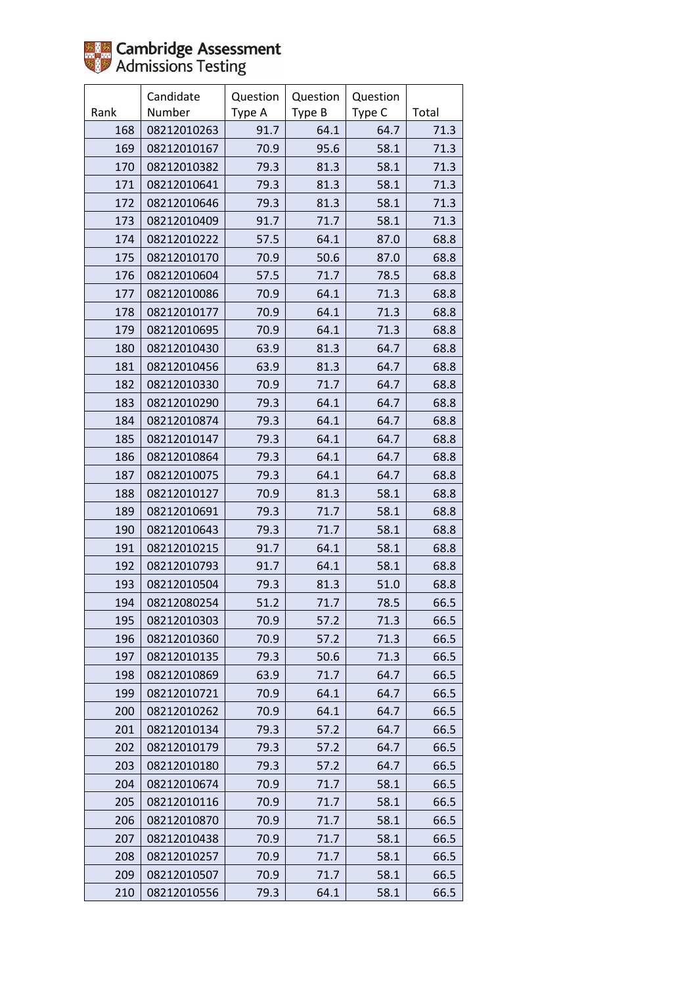

|      | Candidate   | Question | Question | Question |       |
|------|-------------|----------|----------|----------|-------|
| Rank | Number      | Type A   | Type B   | Type C   | Total |
| 168  | 08212010263 | 91.7     | 64.1     | 64.7     | 71.3  |
| 169  | 08212010167 | 70.9     | 95.6     | 58.1     | 71.3  |
| 170  | 08212010382 | 79.3     | 81.3     | 58.1     | 71.3  |
| 171  | 08212010641 | 79.3     | 81.3     | 58.1     | 71.3  |
| 172  | 08212010646 | 79.3     | 81.3     | 58.1     | 71.3  |
| 173  | 08212010409 | 91.7     | 71.7     | 58.1     | 71.3  |
| 174  | 08212010222 | 57.5     | 64.1     | 87.0     | 68.8  |
| 175  | 08212010170 | 70.9     | 50.6     | 87.0     | 68.8  |
| 176  | 08212010604 | 57.5     | 71.7     | 78.5     | 68.8  |
| 177  | 08212010086 | 70.9     | 64.1     | 71.3     | 68.8  |
| 178  | 08212010177 | 70.9     | 64.1     | 71.3     | 68.8  |
| 179  | 08212010695 | 70.9     | 64.1     | 71.3     | 68.8  |
| 180  | 08212010430 | 63.9     | 81.3     | 64.7     | 68.8  |
| 181  | 08212010456 | 63.9     | 81.3     | 64.7     | 68.8  |
| 182  | 08212010330 | 70.9     | 71.7     | 64.7     | 68.8  |
| 183  | 08212010290 | 79.3     | 64.1     | 64.7     | 68.8  |
| 184  | 08212010874 | 79.3     | 64.1     | 64.7     | 68.8  |
| 185  | 08212010147 | 79.3     | 64.1     | 64.7     | 68.8  |
| 186  | 08212010864 | 79.3     | 64.1     | 64.7     | 68.8  |
| 187  | 08212010075 | 79.3     | 64.1     | 64.7     | 68.8  |
| 188  | 08212010127 | 70.9     | 81.3     | 58.1     | 68.8  |
| 189  | 08212010691 | 79.3     | 71.7     | 58.1     | 68.8  |
| 190  | 08212010643 | 79.3     | 71.7     | 58.1     | 68.8  |
| 191  | 08212010215 | 91.7     | 64.1     | 58.1     | 68.8  |
| 192  | 08212010793 | 91.7     | 64.1     | 58.1     | 68.8  |
| 193  | 08212010504 | 79.3     | 81.3     | 51.0     | 68.8  |
| 194  | 08212080254 | 51.2     | 71.7     | 78.5     | 66.5  |
| 195  | 08212010303 | 70.9     | 57.2     | 71.3     | 66.5  |
| 196  | 08212010360 | 70.9     | 57.2     | 71.3     | 66.5  |
| 197  | 08212010135 | 79.3     | 50.6     | 71.3     | 66.5  |
| 198  | 08212010869 | 63.9     | 71.7     | 64.7     | 66.5  |
| 199  | 08212010721 | 70.9     | 64.1     | 64.7     | 66.5  |
| 200  | 08212010262 | 70.9     | 64.1     | 64.7     | 66.5  |
| 201  | 08212010134 | 79.3     | 57.2     | 64.7     | 66.5  |
| 202  | 08212010179 | 79.3     | 57.2     | 64.7     | 66.5  |
| 203  | 08212010180 | 79.3     | 57.2     | 64.7     | 66.5  |
| 204  | 08212010674 | 70.9     | 71.7     | 58.1     | 66.5  |
| 205  | 08212010116 | 70.9     | 71.7     | 58.1     | 66.5  |
| 206  | 08212010870 | 70.9     | 71.7     | 58.1     | 66.5  |
| 207  | 08212010438 | 70.9     | 71.7     | 58.1     | 66.5  |
| 208  | 08212010257 | 70.9     | 71.7     | 58.1     | 66.5  |
| 209  | 08212010507 | 70.9     | 71.7     | 58.1     | 66.5  |
| 210  | 08212010556 | 79.3     | 64.1     | 58.1     | 66.5  |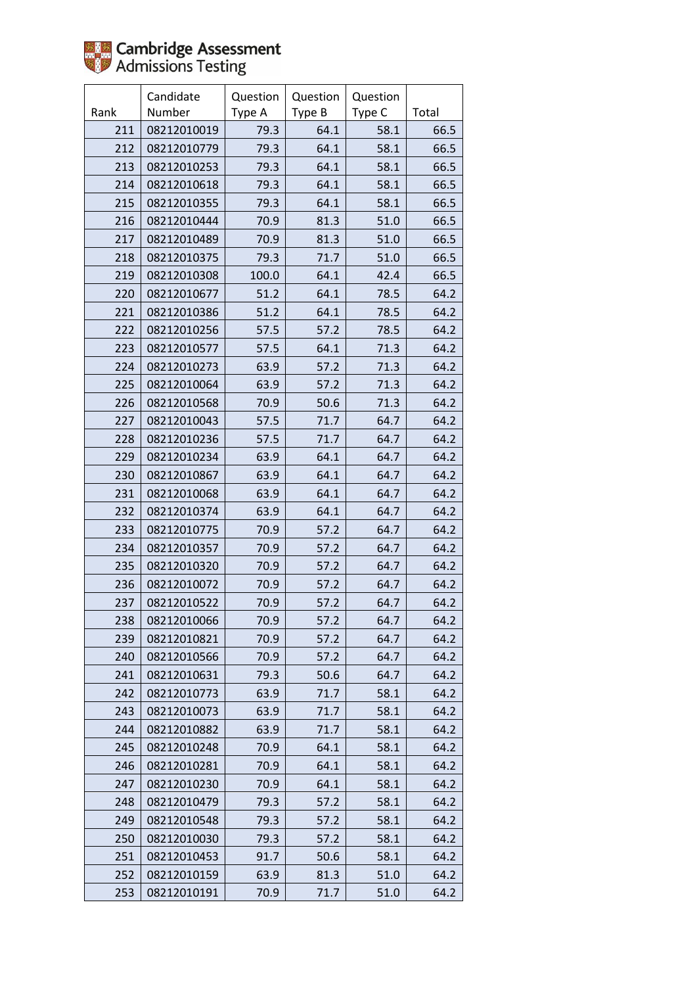

|      | Candidate   | Question | Question | Question |       |
|------|-------------|----------|----------|----------|-------|
| Rank | Number      | Type A   | Type B   | Type C   | Total |
| 211  | 08212010019 | 79.3     | 64.1     | 58.1     | 66.5  |
| 212  | 08212010779 | 79.3     | 64.1     | 58.1     | 66.5  |
| 213  | 08212010253 | 79.3     | 64.1     | 58.1     | 66.5  |
| 214  | 08212010618 | 79.3     | 64.1     | 58.1     | 66.5  |
| 215  | 08212010355 | 79.3     | 64.1     | 58.1     | 66.5  |
| 216  | 08212010444 | 70.9     | 81.3     | 51.0     | 66.5  |
| 217  | 08212010489 | 70.9     | 81.3     | 51.0     | 66.5  |
| 218  | 08212010375 | 79.3     | 71.7     | 51.0     | 66.5  |
| 219  | 08212010308 | 100.0    | 64.1     | 42.4     | 66.5  |
| 220  | 08212010677 | 51.2     | 64.1     | 78.5     | 64.2  |
| 221  | 08212010386 | 51.2     | 64.1     | 78.5     | 64.2  |
| 222  | 08212010256 | 57.5     | 57.2     | 78.5     | 64.2  |
| 223  | 08212010577 | 57.5     | 64.1     | 71.3     | 64.2  |
| 224  | 08212010273 | 63.9     | 57.2     | 71.3     | 64.2  |
| 225  | 08212010064 | 63.9     | 57.2     | 71.3     | 64.2  |
| 226  | 08212010568 | 70.9     | 50.6     | 71.3     | 64.2  |
| 227  | 08212010043 | 57.5     | 71.7     | 64.7     | 64.2  |
| 228  | 08212010236 | 57.5     | 71.7     | 64.7     | 64.2  |
| 229  | 08212010234 | 63.9     | 64.1     | 64.7     | 64.2  |
| 230  | 08212010867 | 63.9     | 64.1     | 64.7     | 64.2  |
| 231  | 08212010068 | 63.9     | 64.1     | 64.7     | 64.2  |
| 232  | 08212010374 | 63.9     | 64.1     | 64.7     | 64.2  |
| 233  | 08212010775 | 70.9     | 57.2     | 64.7     | 64.2  |
| 234  | 08212010357 | 70.9     | 57.2     | 64.7     | 64.2  |
| 235  | 08212010320 | 70.9     | 57.2     | 64.7     | 64.2  |
| 236  | 08212010072 | 70.9     | 57.2     | 64.7     | 64.2  |
| 237  | 08212010522 | 70.9     | 57.2     | 64.7     | 64.2  |
| 238  | 08212010066 | 70.9     | 57.2     | 64.7     | 64.2  |
| 239  | 08212010821 | 70.9     | 57.2     | 64.7     | 64.2  |
| 240  | 08212010566 | 70.9     | 57.2     | 64.7     | 64.2  |
| 241  | 08212010631 | 79.3     | 50.6     | 64.7     | 64.2  |
| 242  | 08212010773 | 63.9     | 71.7     | 58.1     | 64.2  |
| 243  | 08212010073 | 63.9     | 71.7     | 58.1     | 64.2  |
| 244  | 08212010882 | 63.9     | 71.7     | 58.1     | 64.2  |
| 245  | 08212010248 | 70.9     | 64.1     | 58.1     | 64.2  |
| 246  | 08212010281 | 70.9     | 64.1     | 58.1     | 64.2  |
| 247  | 08212010230 | 70.9     | 64.1     | 58.1     | 64.2  |
| 248  | 08212010479 | 79.3     | 57.2     | 58.1     | 64.2  |
| 249  | 08212010548 | 79.3     | 57.2     | 58.1     | 64.2  |
| 250  | 08212010030 | 79.3     | 57.2     | 58.1     | 64.2  |
| 251  | 08212010453 | 91.7     | 50.6     | 58.1     | 64.2  |
| 252  | 08212010159 | 63.9     | 81.3     | 51.0     | 64.2  |
| 253  | 08212010191 | 70.9     | 71.7     | 51.0     | 64.2  |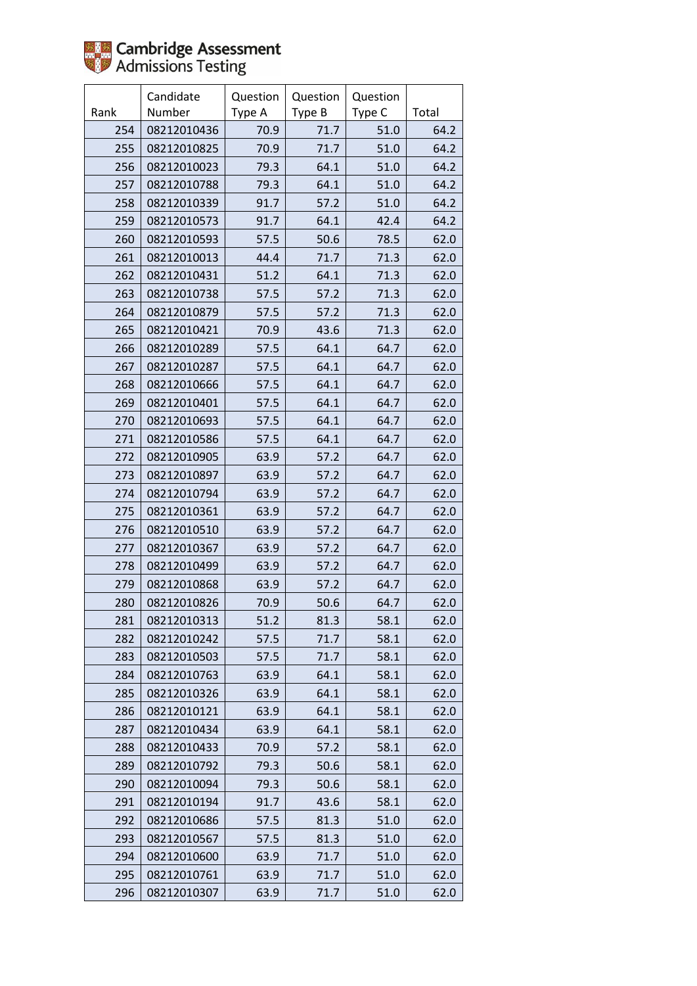|      | Candidate   | Question | Question | Question |       |
|------|-------------|----------|----------|----------|-------|
| Rank | Number      | Type A   | Type B   | Type C   | Total |
| 254  | 08212010436 | 70.9     | 71.7     | 51.0     | 64.2  |
| 255  | 08212010825 | 70.9     | 71.7     | 51.0     | 64.2  |
| 256  | 08212010023 | 79.3     | 64.1     | 51.0     | 64.2  |
| 257  | 08212010788 | 79.3     | 64.1     | 51.0     | 64.2  |
| 258  | 08212010339 | 91.7     | 57.2     | 51.0     | 64.2  |
| 259  | 08212010573 | 91.7     | 64.1     | 42.4     | 64.2  |
| 260  | 08212010593 | 57.5     | 50.6     | 78.5     | 62.0  |
| 261  | 08212010013 | 44.4     | 71.7     | 71.3     | 62.0  |
| 262  | 08212010431 | 51.2     | 64.1     | 71.3     | 62.0  |
| 263  | 08212010738 | 57.5     | 57.2     | 71.3     | 62.0  |
| 264  | 08212010879 | 57.5     | 57.2     | 71.3     | 62.0  |
| 265  | 08212010421 | 70.9     | 43.6     | 71.3     | 62.0  |
| 266  | 08212010289 | 57.5     | 64.1     | 64.7     | 62.0  |
| 267  | 08212010287 | 57.5     | 64.1     | 64.7     | 62.0  |
| 268  | 08212010666 | 57.5     | 64.1     | 64.7     | 62.0  |
| 269  | 08212010401 | 57.5     | 64.1     | 64.7     | 62.0  |
| 270  | 08212010693 | 57.5     | 64.1     | 64.7     | 62.0  |
| 271  | 08212010586 | 57.5     | 64.1     | 64.7     | 62.0  |
| 272  | 08212010905 | 63.9     | 57.2     | 64.7     | 62.0  |
| 273  | 08212010897 | 63.9     | 57.2     | 64.7     | 62.0  |
| 274  | 08212010794 | 63.9     | 57.2     | 64.7     | 62.0  |
| 275  | 08212010361 | 63.9     | 57.2     | 64.7     | 62.0  |
| 276  | 08212010510 | 63.9     | 57.2     | 64.7     | 62.0  |
| 277  | 08212010367 | 63.9     | 57.2     | 64.7     | 62.0  |
| 278  | 08212010499 | 63.9     | 57.2     | 64.7     | 62.0  |
| 279  | 08212010868 | 63.9     | 57.2     | 64.7     | 62.0  |
| 280  | 08212010826 | 70.9     | 50.6     | 64.7     | 62.0  |
| 281  | 08212010313 | 51.2     | 81.3     | 58.1     | 62.0  |
| 282  | 08212010242 | 57.5     | 71.7     | 58.1     | 62.0  |
| 283  | 08212010503 | 57.5     | 71.7     | 58.1     | 62.0  |
| 284  | 08212010763 | 63.9     | 64.1     | 58.1     | 62.0  |
| 285  | 08212010326 | 63.9     | 64.1     | 58.1     | 62.0  |
| 286  | 08212010121 | 63.9     | 64.1     | 58.1     | 62.0  |
| 287  | 08212010434 | 63.9     | 64.1     | 58.1     | 62.0  |
| 288  | 08212010433 | 70.9     | 57.2     | 58.1     | 62.0  |
| 289  | 08212010792 | 79.3     | 50.6     | 58.1     | 62.0  |
| 290  | 08212010094 | 79.3     | 50.6     | 58.1     | 62.0  |
| 291  | 08212010194 | 91.7     | 43.6     | 58.1     | 62.0  |
| 292  | 08212010686 | 57.5     | 81.3     | 51.0     | 62.0  |
| 293  | 08212010567 | 57.5     | 81.3     | 51.0     | 62.0  |
| 294  | 08212010600 | 63.9     | 71.7     | 51.0     | 62.0  |
| 295  | 08212010761 | 63.9     | 71.7     | 51.0     | 62.0  |
| 296  | 08212010307 | 63.9     | 71.7     | 51.0     | 62.0  |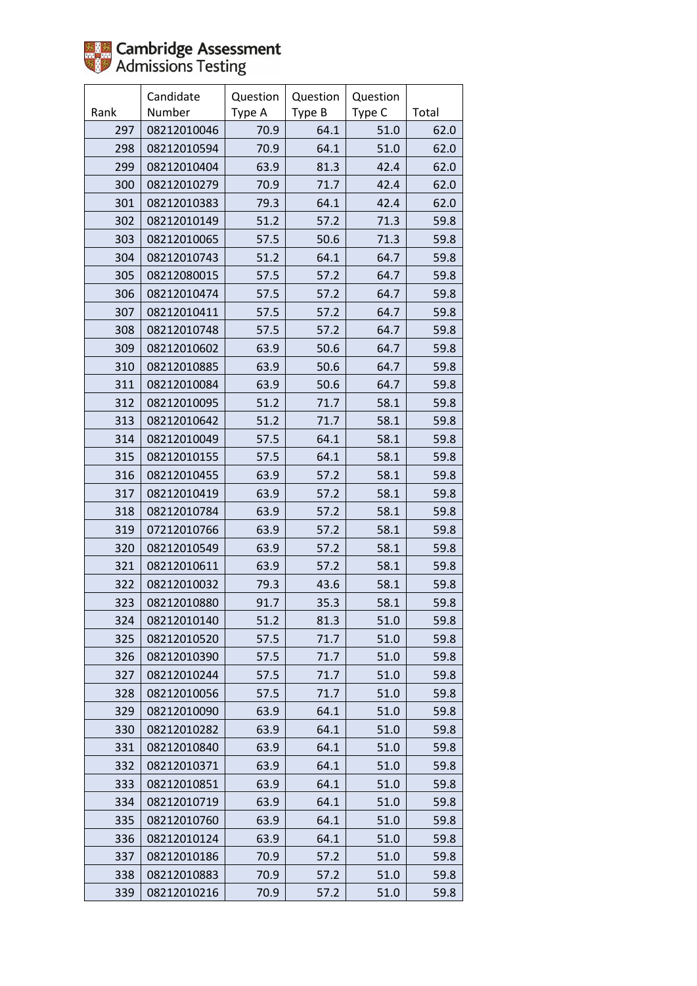|      | Candidate   | Question | Question | Question |       |
|------|-------------|----------|----------|----------|-------|
| Rank | Number      | Type A   | Type B   | Type C   | Total |
| 297  | 08212010046 | 70.9     | 64.1     | 51.0     | 62.0  |
| 298  | 08212010594 | 70.9     | 64.1     | 51.0     | 62.0  |
| 299  | 08212010404 | 63.9     | 81.3     | 42.4     | 62.0  |
| 300  | 08212010279 | 70.9     | 71.7     | 42.4     | 62.0  |
| 301  | 08212010383 | 79.3     | 64.1     | 42.4     | 62.0  |
| 302  | 08212010149 | 51.2     | 57.2     | 71.3     | 59.8  |
| 303  | 08212010065 | 57.5     | 50.6     | 71.3     | 59.8  |
| 304  | 08212010743 | 51.2     | 64.1     | 64.7     | 59.8  |
| 305  | 08212080015 | 57.5     | 57.2     | 64.7     | 59.8  |
| 306  | 08212010474 | 57.5     | 57.2     | 64.7     | 59.8  |
| 307  | 08212010411 | 57.5     | 57.2     | 64.7     | 59.8  |
| 308  | 08212010748 | 57.5     | 57.2     | 64.7     | 59.8  |
| 309  | 08212010602 | 63.9     | 50.6     | 64.7     | 59.8  |
| 310  | 08212010885 | 63.9     | 50.6     | 64.7     | 59.8  |
| 311  | 08212010084 | 63.9     | 50.6     | 64.7     | 59.8  |
| 312  | 08212010095 | 51.2     | 71.7     | 58.1     | 59.8  |
| 313  | 08212010642 | 51.2     | 71.7     | 58.1     | 59.8  |
| 314  | 08212010049 | 57.5     | 64.1     | 58.1     | 59.8  |
| 315  | 08212010155 | 57.5     | 64.1     | 58.1     | 59.8  |
| 316  | 08212010455 | 63.9     | 57.2     | 58.1     | 59.8  |
| 317  | 08212010419 | 63.9     | 57.2     | 58.1     | 59.8  |
| 318  | 08212010784 | 63.9     | 57.2     | 58.1     | 59.8  |
| 319  | 07212010766 | 63.9     | 57.2     | 58.1     | 59.8  |
| 320  | 08212010549 | 63.9     | 57.2     | 58.1     | 59.8  |
| 321  | 08212010611 | 63.9     | 57.2     | 58.1     | 59.8  |
| 322  | 08212010032 | 79.3     | 43.6     | 58.1     | 59.8  |
| 323  | 08212010880 | 91.7     | 35.3     | 58.1     | 59.8  |
| 324  | 08212010140 | 51.2     | 81.3     | 51.0     | 59.8  |
| 325  | 08212010520 | 57.5     | 71.7     | 51.0     | 59.8  |
| 326  | 08212010390 | 57.5     | 71.7     | 51.0     | 59.8  |
| 327  | 08212010244 | 57.5     | 71.7     | 51.0     | 59.8  |
| 328  | 08212010056 | 57.5     | 71.7     | 51.0     | 59.8  |
| 329  | 08212010090 | 63.9     | 64.1     | 51.0     | 59.8  |
| 330  | 08212010282 | 63.9     | 64.1     | 51.0     | 59.8  |
| 331  | 08212010840 | 63.9     | 64.1     | 51.0     | 59.8  |
| 332  | 08212010371 | 63.9     | 64.1     | 51.0     | 59.8  |
| 333  | 08212010851 | 63.9     | 64.1     | 51.0     | 59.8  |
| 334  | 08212010719 | 63.9     | 64.1     | 51.0     | 59.8  |
| 335  | 08212010760 | 63.9     | 64.1     | 51.0     | 59.8  |
| 336  | 08212010124 | 63.9     | 64.1     | 51.0     | 59.8  |
| 337  | 08212010186 | 70.9     | 57.2     | 51.0     | 59.8  |
| 338  | 08212010883 | 70.9     | 57.2     | 51.0     | 59.8  |
| 339  | 08212010216 | 70.9     | 57.2     | 51.0     | 59.8  |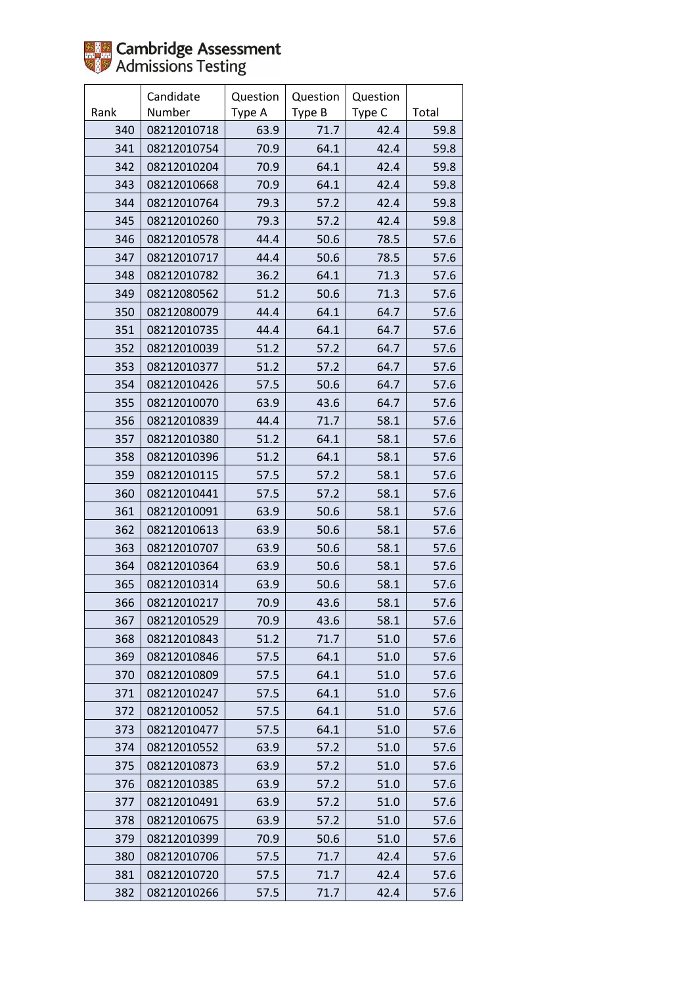

|      | Candidate   | Question | Question | Question |       |
|------|-------------|----------|----------|----------|-------|
| Rank | Number      | Type A   | Type B   | Type C   | Total |
| 340  | 08212010718 | 63.9     | 71.7     | 42.4     | 59.8  |
| 341  | 08212010754 | 70.9     | 64.1     | 42.4     | 59.8  |
| 342  | 08212010204 | 70.9     | 64.1     | 42.4     | 59.8  |
| 343  | 08212010668 | 70.9     | 64.1     | 42.4     | 59.8  |
| 344  | 08212010764 | 79.3     | 57.2     | 42.4     | 59.8  |
| 345  | 08212010260 | 79.3     | 57.2     | 42.4     | 59.8  |
| 346  | 08212010578 | 44.4     | 50.6     | 78.5     | 57.6  |
| 347  | 08212010717 | 44.4     | 50.6     | 78.5     | 57.6  |
| 348  | 08212010782 | 36.2     | 64.1     | 71.3     | 57.6  |
| 349  | 08212080562 | 51.2     | 50.6     | 71.3     | 57.6  |
| 350  | 08212080079 | 44.4     | 64.1     | 64.7     | 57.6  |
| 351  | 08212010735 | 44.4     | 64.1     | 64.7     | 57.6  |
| 352  | 08212010039 | 51.2     | 57.2     | 64.7     | 57.6  |
| 353  | 08212010377 | 51.2     | 57.2     | 64.7     | 57.6  |
| 354  | 08212010426 | 57.5     | 50.6     | 64.7     | 57.6  |
| 355  | 08212010070 | 63.9     | 43.6     | 64.7     | 57.6  |
| 356  | 08212010839 | 44.4     | 71.7     | 58.1     | 57.6  |
| 357  | 08212010380 | 51.2     | 64.1     | 58.1     | 57.6  |
| 358  | 08212010396 | 51.2     | 64.1     | 58.1     | 57.6  |
| 359  | 08212010115 | 57.5     | 57.2     | 58.1     | 57.6  |
| 360  | 08212010441 | 57.5     | 57.2     | 58.1     | 57.6  |
| 361  | 08212010091 | 63.9     | 50.6     | 58.1     | 57.6  |
| 362  | 08212010613 | 63.9     | 50.6     | 58.1     | 57.6  |
| 363  | 08212010707 | 63.9     | 50.6     | 58.1     | 57.6  |
| 364  | 08212010364 | 63.9     | 50.6     | 58.1     | 57.6  |
| 365  | 08212010314 | 63.9     | 50.6     | 58.1     | 57.6  |
| 366  | 08212010217 | 70.9     | 43.6     | 58.1     | 57.6  |
| 367  | 08212010529 | 70.9     | 43.6     | 58.1     | 57.6  |
| 368  | 08212010843 | 51.2     | 71.7     | 51.0     | 57.6  |
| 369  | 08212010846 | 57.5     | 64.1     | 51.0     | 57.6  |
| 370  | 08212010809 | 57.5     | 64.1     | 51.0     | 57.6  |
| 371  | 08212010247 | 57.5     | 64.1     | 51.0     | 57.6  |
| 372  | 08212010052 | 57.5     | 64.1     | 51.0     | 57.6  |
| 373  | 08212010477 | 57.5     | 64.1     | 51.0     | 57.6  |
| 374  | 08212010552 | 63.9     | 57.2     | 51.0     | 57.6  |
| 375  | 08212010873 | 63.9     | 57.2     | 51.0     | 57.6  |
| 376  | 08212010385 | 63.9     | 57.2     | 51.0     | 57.6  |
| 377  | 08212010491 | 63.9     | 57.2     | 51.0     | 57.6  |
| 378  | 08212010675 | 63.9     | 57.2     | 51.0     | 57.6  |
| 379  | 08212010399 | 70.9     | 50.6     | 51.0     | 57.6  |
| 380  | 08212010706 | 57.5     | 71.7     | 42.4     | 57.6  |
| 381  | 08212010720 | 57.5     | 71.7     | 42.4     | 57.6  |
| 382  | 08212010266 | 57.5     | 71.7     | 42.4     | 57.6  |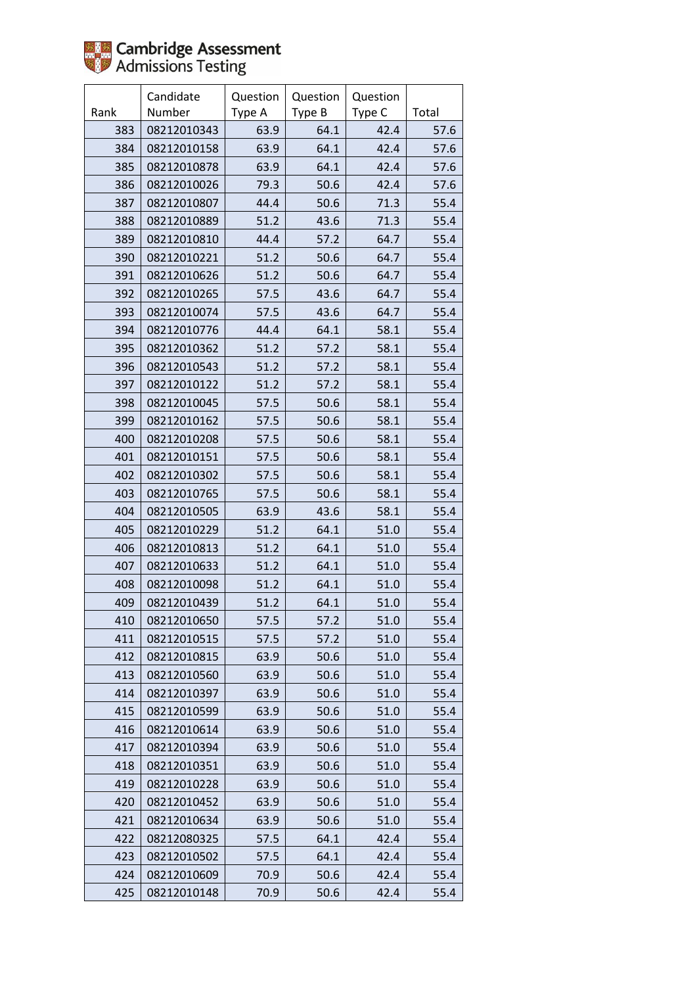|      | Candidate   | Question | Question | Question |       |
|------|-------------|----------|----------|----------|-------|
| Rank | Number      | Type A   | Type B   | Type C   | Total |
| 383  | 08212010343 | 63.9     | 64.1     | 42.4     | 57.6  |
| 384  | 08212010158 | 63.9     | 64.1     | 42.4     | 57.6  |
| 385  | 08212010878 | 63.9     | 64.1     | 42.4     | 57.6  |
| 386  | 08212010026 | 79.3     | 50.6     | 42.4     | 57.6  |
| 387  | 08212010807 | 44.4     | 50.6     | 71.3     | 55.4  |
| 388  | 08212010889 | 51.2     | 43.6     | 71.3     | 55.4  |
| 389  | 08212010810 | 44.4     | 57.2     | 64.7     | 55.4  |
| 390  | 08212010221 | 51.2     | 50.6     | 64.7     | 55.4  |
| 391  | 08212010626 | 51.2     | 50.6     | 64.7     | 55.4  |
| 392  | 08212010265 | 57.5     | 43.6     | 64.7     | 55.4  |
| 393  | 08212010074 | 57.5     | 43.6     | 64.7     | 55.4  |
| 394  | 08212010776 | 44.4     | 64.1     | 58.1     | 55.4  |
| 395  | 08212010362 | 51.2     | 57.2     | 58.1     | 55.4  |
| 396  | 08212010543 | 51.2     | 57.2     | 58.1     | 55.4  |
| 397  | 08212010122 | 51.2     | 57.2     | 58.1     | 55.4  |
| 398  | 08212010045 | 57.5     | 50.6     | 58.1     | 55.4  |
| 399  | 08212010162 | 57.5     | 50.6     | 58.1     | 55.4  |
| 400  | 08212010208 | 57.5     | 50.6     | 58.1     | 55.4  |
| 401  | 08212010151 | 57.5     | 50.6     | 58.1     | 55.4  |
| 402  | 08212010302 | 57.5     | 50.6     | 58.1     | 55.4  |
| 403  | 08212010765 | 57.5     | 50.6     | 58.1     | 55.4  |
| 404  | 08212010505 | 63.9     | 43.6     | 58.1     | 55.4  |
| 405  | 08212010229 | 51.2     | 64.1     | 51.0     | 55.4  |
| 406  | 08212010813 | 51.2     | 64.1     | 51.0     | 55.4  |
| 407  | 08212010633 | 51.2     | 64.1     | 51.0     | 55.4  |
| 408  | 08212010098 | 51.2     | 64.1     | 51.0     | 55.4  |
| 409  | 08212010439 | 51.2     | 64.1     | 51.0     | 55.4  |
| 410  | 08212010650 | 57.5     | 57.2     | 51.0     | 55.4  |
| 411  | 08212010515 | 57.5     | 57.2     | 51.0     | 55.4  |
| 412  | 08212010815 | 63.9     | 50.6     | 51.0     | 55.4  |
| 413  | 08212010560 | 63.9     | 50.6     | 51.0     | 55.4  |
| 414  | 08212010397 | 63.9     | 50.6     | 51.0     | 55.4  |
| 415  | 08212010599 | 63.9     | 50.6     | 51.0     | 55.4  |
| 416  | 08212010614 | 63.9     | 50.6     | 51.0     | 55.4  |
| 417  | 08212010394 | 63.9     | 50.6     | 51.0     | 55.4  |
| 418  | 08212010351 | 63.9     | 50.6     | 51.0     | 55.4  |
| 419  | 08212010228 | 63.9     | 50.6     | 51.0     | 55.4  |
| 420  | 08212010452 | 63.9     | 50.6     | 51.0     | 55.4  |
| 421  | 08212010634 | 63.9     | 50.6     | 51.0     | 55.4  |
| 422  | 08212080325 | 57.5     | 64.1     | 42.4     | 55.4  |
| 423  | 08212010502 | 57.5     | 64.1     | 42.4     | 55.4  |
| 424  | 08212010609 | 70.9     | 50.6     | 42.4     | 55.4  |
| 425  | 08212010148 | 70.9     | 50.6     | 42.4     | 55.4  |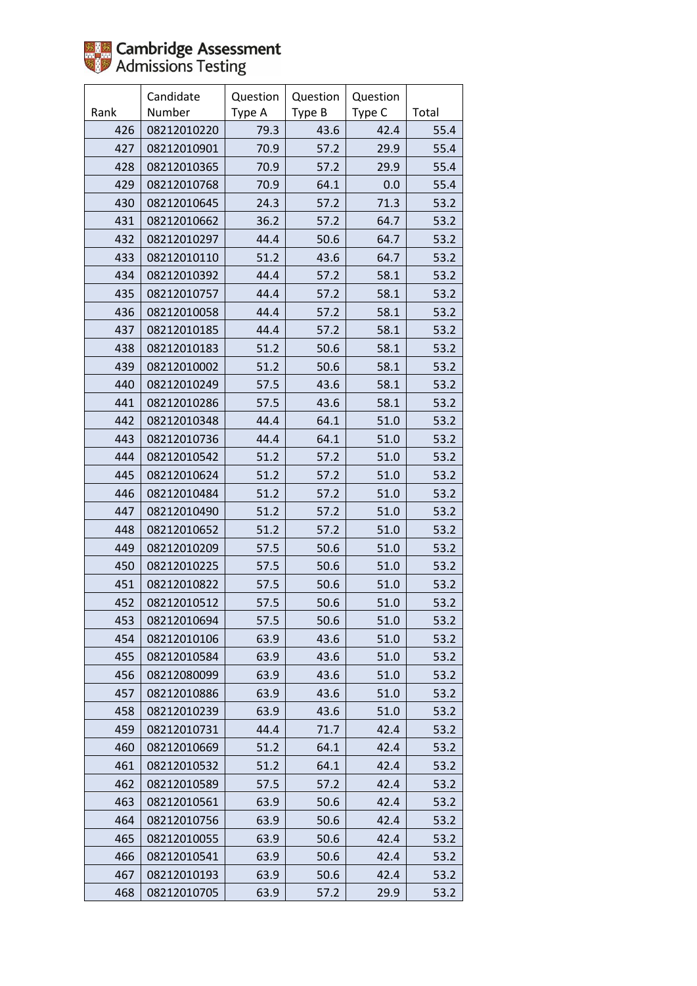

|      | Candidate   | Question | Question | Question |       |
|------|-------------|----------|----------|----------|-------|
| Rank | Number      | Type A   | Type B   | Type C   | Total |
| 426  | 08212010220 | 79.3     | 43.6     | 42.4     | 55.4  |
| 427  | 08212010901 | 70.9     | 57.2     | 29.9     | 55.4  |
| 428  | 08212010365 | 70.9     | 57.2     | 29.9     | 55.4  |
| 429  | 08212010768 | 70.9     | 64.1     | 0.0      | 55.4  |
| 430  | 08212010645 | 24.3     | 57.2     | 71.3     | 53.2  |
| 431  | 08212010662 | 36.2     | 57.2     | 64.7     | 53.2  |
| 432  | 08212010297 | 44.4     | 50.6     | 64.7     | 53.2  |
| 433  | 08212010110 | 51.2     | 43.6     | 64.7     | 53.2  |
| 434  | 08212010392 | 44.4     | 57.2     | 58.1     | 53.2  |
| 435  | 08212010757 | 44.4     | 57.2     | 58.1     | 53.2  |
| 436  | 08212010058 | 44.4     | 57.2     | 58.1     | 53.2  |
| 437  | 08212010185 | 44.4     | 57.2     | 58.1     | 53.2  |
| 438  | 08212010183 | 51.2     | 50.6     | 58.1     | 53.2  |
| 439  | 08212010002 | 51.2     | 50.6     | 58.1     | 53.2  |
| 440  | 08212010249 | 57.5     | 43.6     | 58.1     | 53.2  |
| 441  | 08212010286 | 57.5     | 43.6     | 58.1     | 53.2  |
| 442  | 08212010348 | 44.4     | 64.1     | 51.0     | 53.2  |
| 443  | 08212010736 | 44.4     | 64.1     | 51.0     | 53.2  |
| 444  | 08212010542 | 51.2     | 57.2     | 51.0     | 53.2  |
| 445  | 08212010624 | 51.2     | 57.2     | 51.0     | 53.2  |
| 446  | 08212010484 | 51.2     | 57.2     | 51.0     | 53.2  |
| 447  | 08212010490 | 51.2     | 57.2     | 51.0     | 53.2  |
| 448  | 08212010652 | 51.2     | 57.2     | 51.0     | 53.2  |
| 449  | 08212010209 | 57.5     | 50.6     | 51.0     | 53.2  |
| 450  | 08212010225 | 57.5     | 50.6     | 51.0     | 53.2  |
| 451  | 08212010822 | 57.5     | 50.6     | 51.0     | 53.2  |
| 452  | 08212010512 | 57.5     | 50.6     | 51.0     | 53.2  |
| 453  | 08212010694 | 57.5     | 50.6     | 51.0     | 53.2  |
| 454  | 08212010106 | 63.9     | 43.6     | 51.0     | 53.2  |
| 455  | 08212010584 | 63.9     | 43.6     | 51.0     | 53.2  |
| 456  | 08212080099 | 63.9     | 43.6     | 51.0     | 53.2  |
| 457  | 08212010886 | 63.9     | 43.6     | 51.0     | 53.2  |
| 458  | 08212010239 | 63.9     | 43.6     | 51.0     | 53.2  |
| 459  | 08212010731 | 44.4     | 71.7     | 42.4     | 53.2  |
| 460  | 08212010669 | 51.2     | 64.1     | 42.4     | 53.2  |
| 461  | 08212010532 | 51.2     | 64.1     | 42.4     | 53.2  |
| 462  | 08212010589 | 57.5     | 57.2     | 42.4     | 53.2  |
| 463  | 08212010561 | 63.9     | 50.6     | 42.4     | 53.2  |
| 464  | 08212010756 | 63.9     | 50.6     | 42.4     | 53.2  |
| 465  | 08212010055 | 63.9     | 50.6     | 42.4     | 53.2  |
| 466  | 08212010541 | 63.9     | 50.6     | 42.4     | 53.2  |
| 467  | 08212010193 | 63.9     | 50.6     | 42.4     | 53.2  |
| 468  | 08212010705 | 63.9     | 57.2     | 29.9     | 53.2  |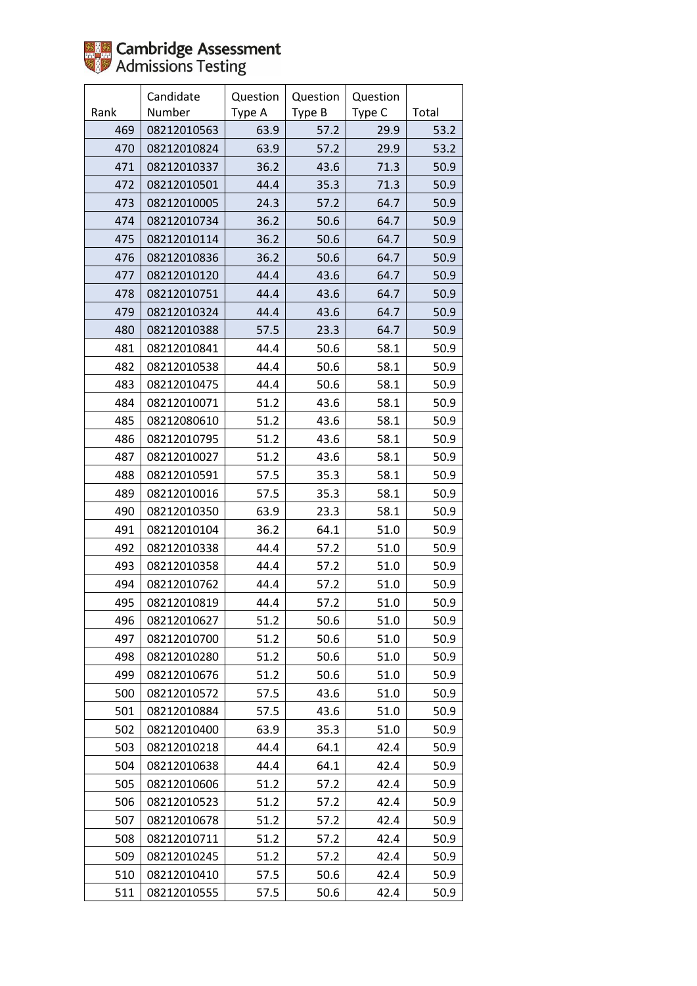

|      | Candidate   | Question | Question | Question |       |
|------|-------------|----------|----------|----------|-------|
| Rank | Number      | Type A   | Type B   | Type C   | Total |
| 469  | 08212010563 | 63.9     | 57.2     | 29.9     | 53.2  |
| 470  | 08212010824 | 63.9     | 57.2     | 29.9     | 53.2  |
| 471  | 08212010337 | 36.2     | 43.6     | 71.3     | 50.9  |
| 472  | 08212010501 | 44.4     | 35.3     | 71.3     | 50.9  |
| 473  | 08212010005 | 24.3     | 57.2     | 64.7     | 50.9  |
| 474  | 08212010734 | 36.2     | 50.6     | 64.7     | 50.9  |
| 475  | 08212010114 | 36.2     | 50.6     | 64.7     | 50.9  |
| 476  | 08212010836 | 36.2     | 50.6     | 64.7     | 50.9  |
| 477  | 08212010120 | 44.4     | 43.6     | 64.7     | 50.9  |
| 478  | 08212010751 | 44.4     | 43.6     | 64.7     | 50.9  |
| 479  | 08212010324 | 44.4     | 43.6     | 64.7     | 50.9  |
| 480  | 08212010388 | 57.5     | 23.3     | 64.7     | 50.9  |
| 481  | 08212010841 | 44.4     | 50.6     | 58.1     | 50.9  |
| 482  | 08212010538 | 44.4     | 50.6     | 58.1     | 50.9  |
| 483  | 08212010475 | 44.4     | 50.6     | 58.1     | 50.9  |
| 484  | 08212010071 | 51.2     | 43.6     | 58.1     | 50.9  |
| 485  | 08212080610 | 51.2     | 43.6     | 58.1     | 50.9  |
| 486  | 08212010795 | 51.2     | 43.6     | 58.1     | 50.9  |
| 487  | 08212010027 | 51.2     | 43.6     | 58.1     | 50.9  |
| 488  | 08212010591 | 57.5     | 35.3     | 58.1     | 50.9  |
| 489  | 08212010016 | 57.5     | 35.3     | 58.1     | 50.9  |
| 490  | 08212010350 | 63.9     | 23.3     | 58.1     | 50.9  |
| 491  | 08212010104 | 36.2     | 64.1     | 51.0     | 50.9  |
| 492  | 08212010338 | 44.4     | 57.2     | 51.0     | 50.9  |
| 493  | 08212010358 | 44.4     | 57.2     | 51.0     | 50.9  |
| 494  | 08212010762 | 44.4     | 57.2     | 51.0     | 50.9  |
| 495  | 08212010819 | 44.4     | 57.2     | 51.0     | 50.9  |
| 496  | 08212010627 | 51.2     | 50.6     | 51.0     | 50.9  |
| 497  | 08212010700 | 51.2     | 50.6     | 51.0     | 50.9  |
| 498  | 08212010280 | 51.2     | 50.6     | 51.0     | 50.9  |
| 499  | 08212010676 | 51.2     | 50.6     | 51.0     | 50.9  |
| 500  | 08212010572 | 57.5     | 43.6     | 51.0     | 50.9  |
| 501  | 08212010884 | 57.5     | 43.6     | 51.0     | 50.9  |
| 502  | 08212010400 | 63.9     | 35.3     | 51.0     | 50.9  |
| 503  | 08212010218 | 44.4     | 64.1     | 42.4     | 50.9  |
| 504  | 08212010638 | 44.4     | 64.1     | 42.4     | 50.9  |
| 505  | 08212010606 | 51.2     | 57.2     | 42.4     | 50.9  |
| 506  | 08212010523 | 51.2     | 57.2     | 42.4     | 50.9  |
| 507  | 08212010678 | 51.2     | 57.2     | 42.4     | 50.9  |
| 508  | 08212010711 | 51.2     | 57.2     | 42.4     | 50.9  |
| 509  | 08212010245 | 51.2     | 57.2     | 42.4     | 50.9  |
| 510  | 08212010410 | 57.5     | 50.6     | 42.4     | 50.9  |
| 511  | 08212010555 | 57.5     | 50.6     | 42.4     | 50.9  |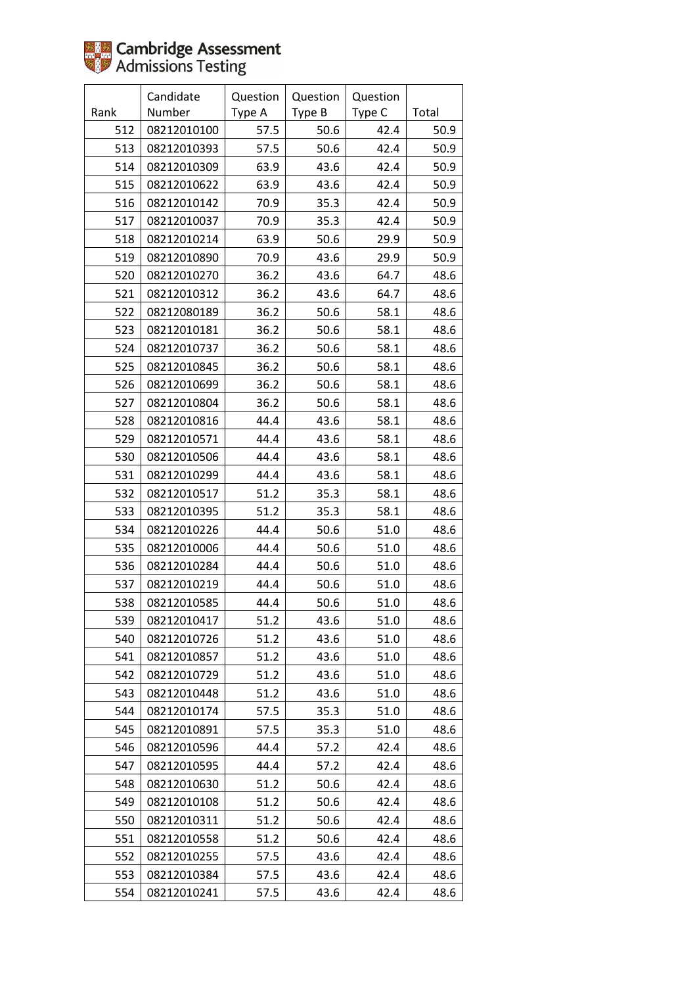|      | Candidate   | Question | Question | Question |       |
|------|-------------|----------|----------|----------|-------|
| Rank | Number      | Type A   | Type B   | Type C   | Total |
| 512  | 08212010100 | 57.5     | 50.6     | 42.4     | 50.9  |
| 513  | 08212010393 | 57.5     | 50.6     | 42.4     | 50.9  |
| 514  | 08212010309 | 63.9     | 43.6     | 42.4     | 50.9  |
| 515  | 08212010622 | 63.9     | 43.6     | 42.4     | 50.9  |
| 516  | 08212010142 | 70.9     | 35.3     | 42.4     | 50.9  |
| 517  | 08212010037 | 70.9     | 35.3     | 42.4     | 50.9  |
| 518  | 08212010214 | 63.9     | 50.6     | 29.9     | 50.9  |
| 519  | 08212010890 | 70.9     | 43.6     | 29.9     | 50.9  |
| 520  | 08212010270 | 36.2     | 43.6     | 64.7     | 48.6  |
| 521  | 08212010312 | 36.2     | 43.6     | 64.7     | 48.6  |
| 522  | 08212080189 | 36.2     | 50.6     | 58.1     | 48.6  |
| 523  | 08212010181 | 36.2     | 50.6     | 58.1     | 48.6  |
| 524  | 08212010737 | 36.2     | 50.6     | 58.1     | 48.6  |
| 525  | 08212010845 | 36.2     | 50.6     | 58.1     | 48.6  |
| 526  | 08212010699 | 36.2     | 50.6     | 58.1     | 48.6  |
| 527  | 08212010804 | 36.2     | 50.6     | 58.1     | 48.6  |
| 528  | 08212010816 | 44.4     | 43.6     | 58.1     | 48.6  |
| 529  | 08212010571 | 44.4     | 43.6     | 58.1     | 48.6  |
| 530  | 08212010506 | 44.4     | 43.6     | 58.1     | 48.6  |
| 531  | 08212010299 | 44.4     | 43.6     | 58.1     | 48.6  |
| 532  | 08212010517 | 51.2     | 35.3     | 58.1     | 48.6  |
| 533  | 08212010395 | 51.2     | 35.3     | 58.1     | 48.6  |
| 534  | 08212010226 | 44.4     | 50.6     | 51.0     | 48.6  |
| 535  | 08212010006 | 44.4     | 50.6     | 51.0     | 48.6  |
| 536  | 08212010284 | 44.4     | 50.6     | 51.0     | 48.6  |
| 537  | 08212010219 | 44.4     | 50.6     | 51.0     | 48.6  |
| 538  | 08212010585 | 44.4     | 50.6     | 51.0     | 48.6  |
| 539  | 08212010417 | 51.2     | 43.6     | 51.0     | 48.6  |
| 540  | 08212010726 | 51.2     | 43.6     | 51.0     | 48.6  |
| 541  | 08212010857 | 51.2     | 43.6     | 51.0     | 48.6  |
| 542  | 08212010729 | 51.2     | 43.6     | 51.0     | 48.6  |
| 543  | 08212010448 | 51.2     | 43.6     | 51.0     | 48.6  |
| 544  | 08212010174 | 57.5     | 35.3     | 51.0     | 48.6  |
| 545  | 08212010891 | 57.5     | 35.3     | 51.0     | 48.6  |
| 546  | 08212010596 | 44.4     | 57.2     | 42.4     | 48.6  |
| 547  | 08212010595 | 44.4     | 57.2     | 42.4     | 48.6  |
| 548  | 08212010630 | 51.2     | 50.6     | 42.4     | 48.6  |
| 549  | 08212010108 | 51.2     | 50.6     | 42.4     | 48.6  |
| 550  | 08212010311 | 51.2     | 50.6     | 42.4     | 48.6  |
| 551  | 08212010558 | 51.2     | 50.6     | 42.4     | 48.6  |
| 552  | 08212010255 | 57.5     | 43.6     | 42.4     | 48.6  |
| 553  | 08212010384 | 57.5     | 43.6     | 42.4     | 48.6  |
| 554  | 08212010241 | 57.5     | 43.6     | 42.4     | 48.6  |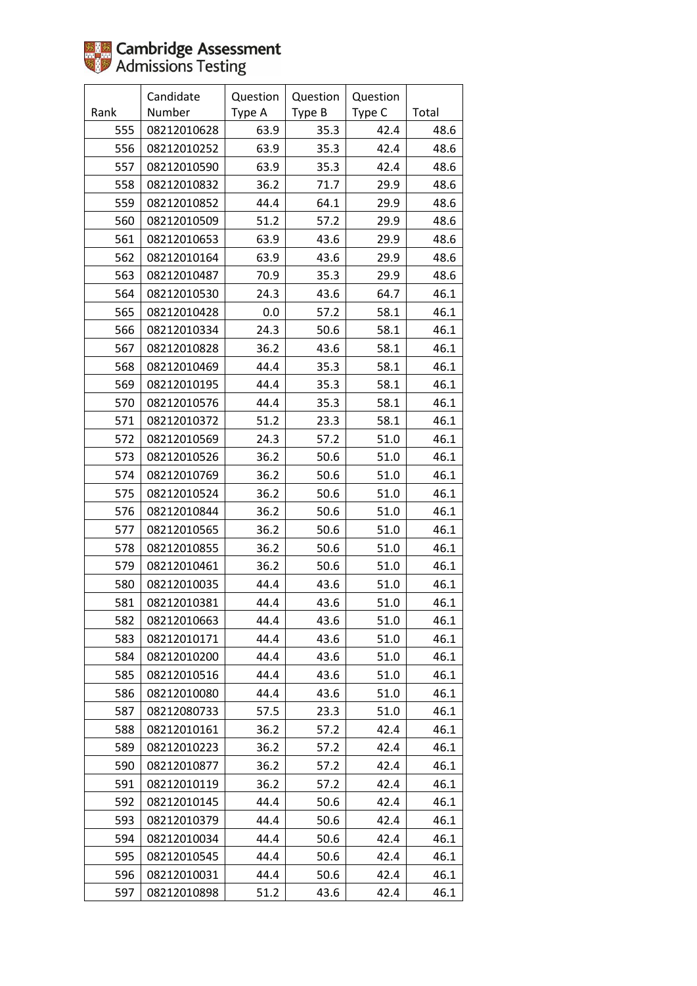|      | Candidate   | Question | Question | Question |       |
|------|-------------|----------|----------|----------|-------|
| Rank | Number      | Type A   | Type B   | Type C   | Total |
| 555  | 08212010628 | 63.9     | 35.3     | 42.4     | 48.6  |
| 556  | 08212010252 | 63.9     | 35.3     | 42.4     | 48.6  |
| 557  | 08212010590 | 63.9     | 35.3     | 42.4     | 48.6  |
| 558  | 08212010832 | 36.2     | 71.7     | 29.9     | 48.6  |
| 559  | 08212010852 | 44.4     | 64.1     | 29.9     | 48.6  |
| 560  | 08212010509 | 51.2     | 57.2     | 29.9     | 48.6  |
| 561  | 08212010653 | 63.9     | 43.6     | 29.9     | 48.6  |
| 562  | 08212010164 | 63.9     | 43.6     | 29.9     | 48.6  |
| 563  | 08212010487 | 70.9     | 35.3     | 29.9     | 48.6  |
| 564  | 08212010530 | 24.3     | 43.6     | 64.7     | 46.1  |
| 565  | 08212010428 | $0.0\,$  | 57.2     | 58.1     | 46.1  |
| 566  | 08212010334 | 24.3     | 50.6     | 58.1     | 46.1  |
| 567  | 08212010828 | 36.2     | 43.6     | 58.1     | 46.1  |
| 568  | 08212010469 | 44.4     | 35.3     | 58.1     | 46.1  |
| 569  | 08212010195 | 44.4     | 35.3     | 58.1     | 46.1  |
| 570  | 08212010576 | 44.4     | 35.3     | 58.1     | 46.1  |
| 571  | 08212010372 | 51.2     | 23.3     | 58.1     | 46.1  |
| 572  | 08212010569 | 24.3     | 57.2     | 51.0     | 46.1  |
| 573  | 08212010526 | 36.2     | 50.6     | 51.0     | 46.1  |
| 574  | 08212010769 | 36.2     | 50.6     | 51.0     | 46.1  |
| 575  | 08212010524 | 36.2     | 50.6     | 51.0     | 46.1  |
| 576  | 08212010844 | 36.2     | 50.6     | 51.0     | 46.1  |
| 577  | 08212010565 | 36.2     | 50.6     | 51.0     | 46.1  |
| 578  | 08212010855 | 36.2     | 50.6     | 51.0     | 46.1  |
| 579  | 08212010461 | 36.2     | 50.6     | 51.0     | 46.1  |
| 580  | 08212010035 | 44.4     | 43.6     | 51.0     | 46.1  |
| 581  | 08212010381 | 44.4     | 43.6     | 51.0     | 46.1  |
| 582  | 08212010663 | 44.4     | 43.6     | 51.0     | 46.1  |
| 583  | 08212010171 | 44.4     | 43.6     | 51.0     | 46.1  |
| 584  | 08212010200 | 44.4     | 43.6     | 51.0     | 46.1  |
| 585  | 08212010516 | 44.4     | 43.6     | 51.0     | 46.1  |
| 586  | 08212010080 | 44.4     | 43.6     | 51.0     | 46.1  |
| 587  | 08212080733 | 57.5     | 23.3     | 51.0     | 46.1  |
| 588  | 08212010161 | 36.2     | 57.2     | 42.4     | 46.1  |
| 589  | 08212010223 | 36.2     | 57.2     | 42.4     | 46.1  |
| 590  | 08212010877 | 36.2     | 57.2     | 42.4     | 46.1  |
| 591  | 08212010119 | 36.2     | 57.2     | 42.4     | 46.1  |
| 592  | 08212010145 | 44.4     | 50.6     | 42.4     | 46.1  |
| 593  | 08212010379 | 44.4     | 50.6     | 42.4     | 46.1  |
| 594  | 08212010034 | 44.4     | 50.6     | 42.4     | 46.1  |
| 595  | 08212010545 | 44.4     | 50.6     | 42.4     | 46.1  |
| 596  | 08212010031 | 44.4     | 50.6     | 42.4     | 46.1  |
| 597  | 08212010898 | 51.2     | 43.6     | 42.4     | 46.1  |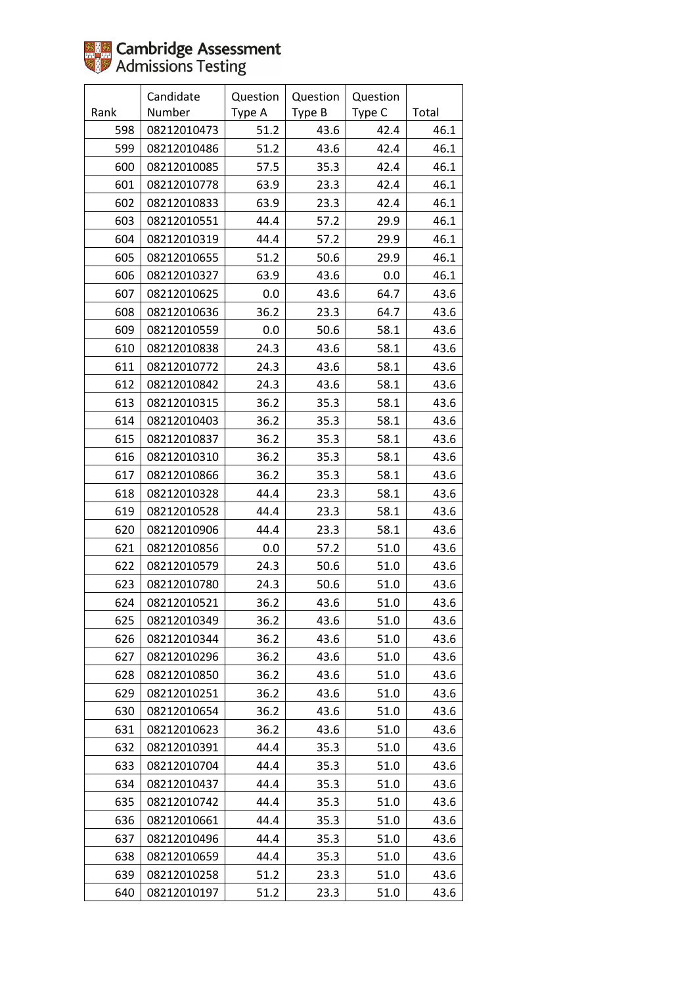|      | Candidate   | Question | Question | Question |       |
|------|-------------|----------|----------|----------|-------|
| Rank | Number      | Type A   | Type B   | Type C   | Total |
| 598  | 08212010473 | 51.2     | 43.6     | 42.4     | 46.1  |
| 599  | 08212010486 | 51.2     | 43.6     | 42.4     | 46.1  |
| 600  | 08212010085 | 57.5     | 35.3     | 42.4     | 46.1  |
| 601  | 08212010778 | 63.9     | 23.3     | 42.4     | 46.1  |
| 602  | 08212010833 | 63.9     | 23.3     | 42.4     | 46.1  |
| 603  | 08212010551 | 44.4     | 57.2     | 29.9     | 46.1  |
| 604  | 08212010319 | 44.4     | 57.2     | 29.9     | 46.1  |
| 605  | 08212010655 | 51.2     | 50.6     | 29.9     | 46.1  |
| 606  | 08212010327 | 63.9     | 43.6     | 0.0      | 46.1  |
| 607  | 08212010625 | 0.0      | 43.6     | 64.7     | 43.6  |
| 608  | 08212010636 | 36.2     | 23.3     | 64.7     | 43.6  |
| 609  | 08212010559 | 0.0      | 50.6     | 58.1     | 43.6  |
| 610  | 08212010838 | 24.3     | 43.6     | 58.1     | 43.6  |
| 611  | 08212010772 | 24.3     | 43.6     | 58.1     | 43.6  |
| 612  | 08212010842 | 24.3     | 43.6     | 58.1     | 43.6  |
| 613  | 08212010315 | 36.2     | 35.3     | 58.1     | 43.6  |
| 614  | 08212010403 | 36.2     | 35.3     | 58.1     | 43.6  |
| 615  | 08212010837 | 36.2     | 35.3     | 58.1     | 43.6  |
| 616  | 08212010310 | 36.2     | 35.3     | 58.1     | 43.6  |
| 617  | 08212010866 | 36.2     | 35.3     | 58.1     | 43.6  |
| 618  | 08212010328 | 44.4     | 23.3     | 58.1     | 43.6  |
| 619  | 08212010528 | 44.4     | 23.3     | 58.1     | 43.6  |
| 620  | 08212010906 | 44.4     | 23.3     | 58.1     | 43.6  |
| 621  | 08212010856 | 0.0      | 57.2     | 51.0     | 43.6  |
| 622  | 08212010579 | 24.3     | 50.6     | 51.0     | 43.6  |
| 623  | 08212010780 | 24.3     | 50.6     | 51.0     | 43.6  |
| 624  | 08212010521 | 36.2     | 43.6     | 51.0     | 43.6  |
| 625  | 08212010349 | 36.2     | 43.6     | 51.0     | 43.6  |
| 626  | 08212010344 | 36.2     | 43.6     | 51.0     | 43.6  |
| 627  | 08212010296 | 36.2     | 43.6     | 51.0     | 43.6  |
| 628  | 08212010850 | 36.2     | 43.6     | 51.0     | 43.6  |
| 629  | 08212010251 | 36.2     | 43.6     | 51.0     | 43.6  |
| 630  | 08212010654 | 36.2     | 43.6     | 51.0     | 43.6  |
| 631  | 08212010623 | 36.2     | 43.6     | 51.0     | 43.6  |
| 632  | 08212010391 | 44.4     | 35.3     | 51.0     | 43.6  |
| 633  | 08212010704 | 44.4     | 35.3     | 51.0     | 43.6  |
| 634  | 08212010437 | 44.4     | 35.3     | 51.0     | 43.6  |
| 635  | 08212010742 | 44.4     | 35.3     | 51.0     | 43.6  |
| 636  | 08212010661 | 44.4     | 35.3     | 51.0     | 43.6  |
| 637  | 08212010496 | 44.4     | 35.3     | 51.0     | 43.6  |
| 638  | 08212010659 | 44.4     | 35.3     | 51.0     | 43.6  |
| 639  | 08212010258 | 51.2     | 23.3     | 51.0     | 43.6  |
| 640  | 08212010197 | 51.2     | 23.3     | 51.0     | 43.6  |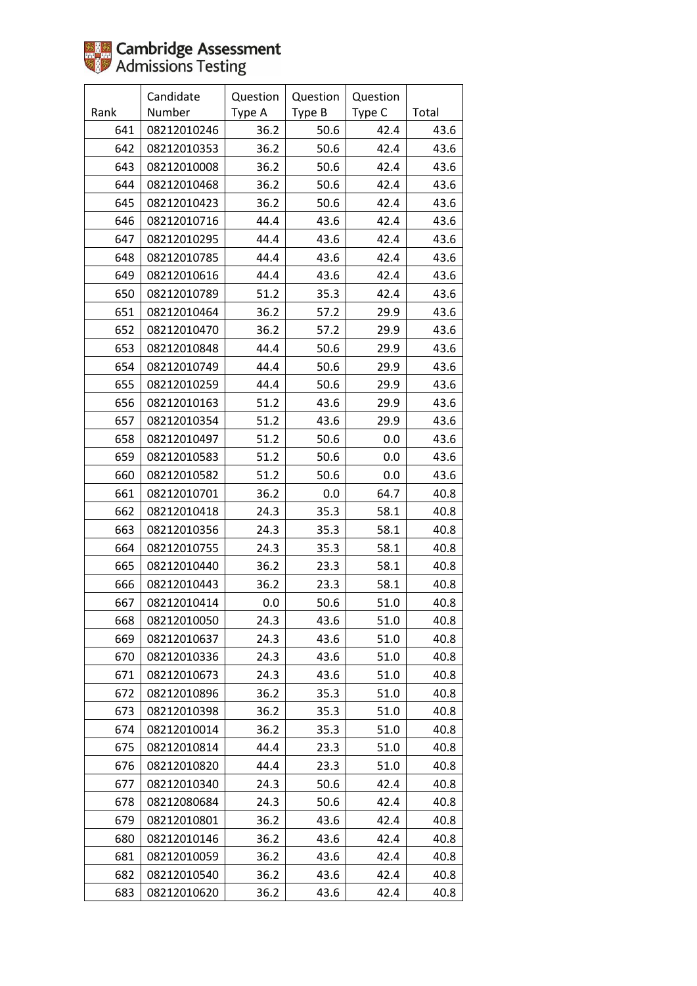|      | Candidate   | Question | Question | Question |       |
|------|-------------|----------|----------|----------|-------|
| Rank | Number      | Type A   | Type B   | Type C   | Total |
| 641  | 08212010246 | 36.2     | 50.6     | 42.4     | 43.6  |
| 642  | 08212010353 | 36.2     | 50.6     | 42.4     | 43.6  |
| 643  | 08212010008 | 36.2     | 50.6     | 42.4     | 43.6  |
| 644  | 08212010468 | 36.2     | 50.6     | 42.4     | 43.6  |
| 645  | 08212010423 | 36.2     | 50.6     | 42.4     | 43.6  |
| 646  | 08212010716 | 44.4     | 43.6     | 42.4     | 43.6  |
| 647  | 08212010295 | 44.4     | 43.6     | 42.4     | 43.6  |
| 648  | 08212010785 | 44.4     | 43.6     | 42.4     | 43.6  |
| 649  | 08212010616 | 44.4     | 43.6     | 42.4     | 43.6  |
| 650  | 08212010789 | 51.2     | 35.3     | 42.4     | 43.6  |
| 651  | 08212010464 | 36.2     | 57.2     | 29.9     | 43.6  |
| 652  | 08212010470 | 36.2     | 57.2     | 29.9     | 43.6  |
| 653  | 08212010848 | 44.4     | 50.6     | 29.9     | 43.6  |
| 654  | 08212010749 | 44.4     | 50.6     | 29.9     | 43.6  |
| 655  | 08212010259 | 44.4     | 50.6     | 29.9     | 43.6  |
| 656  | 08212010163 | 51.2     | 43.6     | 29.9     | 43.6  |
| 657  | 08212010354 | 51.2     | 43.6     | 29.9     | 43.6  |
| 658  | 08212010497 | 51.2     | 50.6     | 0.0      | 43.6  |
| 659  | 08212010583 | 51.2     | 50.6     | 0.0      | 43.6  |
| 660  | 08212010582 | 51.2     | 50.6     | 0.0      | 43.6  |
| 661  | 08212010701 | 36.2     | 0.0      | 64.7     | 40.8  |
| 662  | 08212010418 | 24.3     | 35.3     | 58.1     | 40.8  |
| 663  | 08212010356 | 24.3     | 35.3     | 58.1     | 40.8  |
| 664  | 08212010755 | 24.3     | 35.3     | 58.1     | 40.8  |
| 665  | 08212010440 | 36.2     | 23.3     | 58.1     | 40.8  |
| 666  | 08212010443 | 36.2     | 23.3     | 58.1     | 40.8  |
| 667  | 08212010414 | 0.0      | 50.6     | 51.0     | 40.8  |
| 668  | 08212010050 | 24.3     | 43.6     | 51.0     | 40.8  |
| 669  | 08212010637 | 24.3     | 43.6     | 51.0     | 40.8  |
| 670  | 08212010336 | 24.3     | 43.6     | 51.0     | 40.8  |
| 671  | 08212010673 | 24.3     | 43.6     | 51.0     | 40.8  |
| 672  | 08212010896 | 36.2     | 35.3     | 51.0     | 40.8  |
| 673  | 08212010398 | 36.2     | 35.3     | 51.0     | 40.8  |
| 674  | 08212010014 | 36.2     | 35.3     | 51.0     | 40.8  |
| 675  | 08212010814 | 44.4     | 23.3     | 51.0     | 40.8  |
| 676  | 08212010820 | 44.4     | 23.3     | 51.0     | 40.8  |
| 677  | 08212010340 | 24.3     | 50.6     | 42.4     | 40.8  |
| 678  | 08212080684 | 24.3     | 50.6     | 42.4     | 40.8  |
| 679  | 08212010801 | 36.2     | 43.6     | 42.4     | 40.8  |
| 680  | 08212010146 | 36.2     | 43.6     | 42.4     | 40.8  |
| 681  | 08212010059 | 36.2     | 43.6     | 42.4     | 40.8  |
| 682  | 08212010540 | 36.2     | 43.6     | 42.4     | 40.8  |
| 683  | 08212010620 | 36.2     | 43.6     | 42.4     | 40.8  |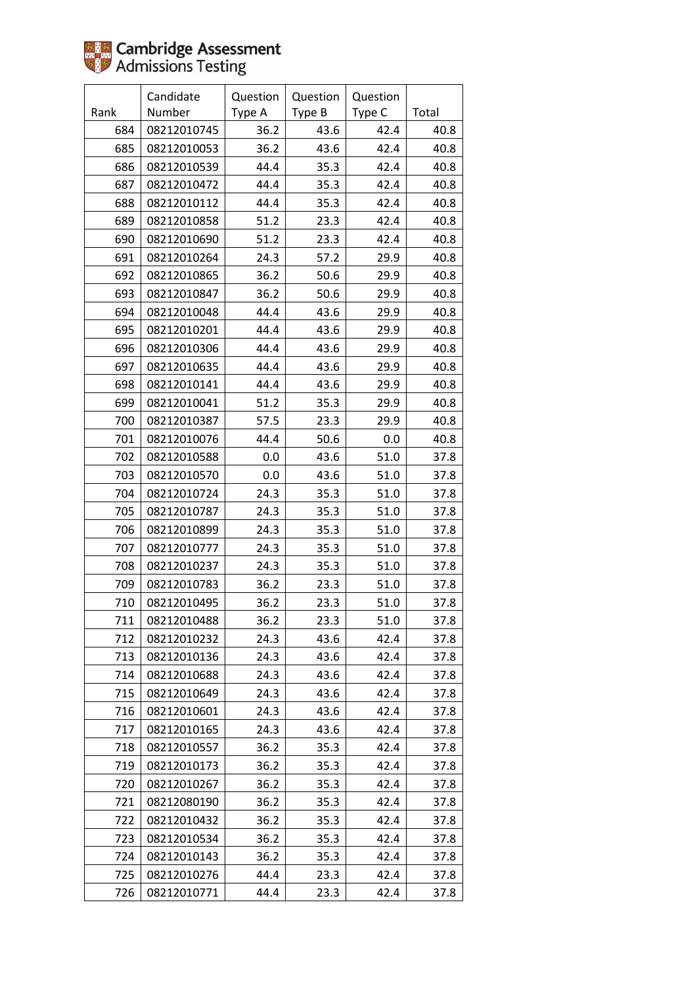|      | Candidate   | Question | Question | Question |       |
|------|-------------|----------|----------|----------|-------|
| Rank | Number      | Type A   | Type B   | Type C   | Total |
| 684  | 08212010745 | 36.2     | 43.6     | 42.4     | 40.8  |
| 685  | 08212010053 | 36.2     | 43.6     | 42.4     | 40.8  |
| 686  | 08212010539 | 44.4     | 35.3     | 42.4     | 40.8  |
| 687  | 08212010472 | 44.4     | 35.3     | 42.4     | 40.8  |
| 688  | 08212010112 | 44.4     | 35.3     | 42.4     | 40.8  |
| 689  | 08212010858 | 51.2     | 23.3     | 42.4     | 40.8  |
| 690  | 08212010690 | 51.2     | 23.3     | 42.4     | 40.8  |
| 691  | 08212010264 | 24.3     | 57.2     | 29.9     | 40.8  |
| 692  | 08212010865 | 36.2     | 50.6     | 29.9     | 40.8  |
| 693  | 08212010847 | 36.2     | 50.6     | 29.9     | 40.8  |
| 694  | 08212010048 | 44.4     | 43.6     | 29.9     | 40.8  |
| 695  | 08212010201 | 44.4     | 43.6     | 29.9     | 40.8  |
| 696  | 08212010306 | 44.4     | 43.6     | 29.9     | 40.8  |
| 697  | 08212010635 | 44.4     | 43.6     | 29.9     | 40.8  |
| 698  | 08212010141 | 44.4     | 43.6     | 29.9     | 40.8  |
| 699  | 08212010041 | 51.2     | 35.3     | 29.9     | 40.8  |
| 700  | 08212010387 | 57.5     | 23.3     | 29.9     | 40.8  |
| 701  | 08212010076 | 44.4     | 50.6     | 0.0      | 40.8  |
| 702  | 08212010588 | 0.0      | 43.6     | 51.0     | 37.8  |
| 703  | 08212010570 | 0.0      | 43.6     | 51.0     | 37.8  |
| 704  | 08212010724 | 24.3     | 35.3     | 51.0     | 37.8  |
| 705  | 08212010787 | 24.3     | 35.3     | 51.0     | 37.8  |
| 706  | 08212010899 | 24.3     | 35.3     | 51.0     | 37.8  |
| 707  | 08212010777 | 24.3     | 35.3     | 51.0     | 37.8  |
| 708  | 08212010237 | 24.3     | 35.3     | 51.0     | 37.8  |
| 709  | 08212010783 | 36.2     | 23.3     | 51.0     | 37.8  |
| 710  | 08212010495 | 36.2     | 23.3     | 51.0     | 37.8  |
| 711  | 08212010488 | 36.2     | 23.3     | 51.0     | 37.8  |
| 712  | 08212010232 | 24.3     | 43.6     | 42.4     | 37.8  |
| 713  | 08212010136 | 24.3     | 43.6     | 42.4     | 37.8  |
| 714  | 08212010688 | 24.3     | 43.6     | 42.4     | 37.8  |
| 715  | 08212010649 | 24.3     | 43.6     | 42.4     | 37.8  |
| 716  | 08212010601 | 24.3     | 43.6     | 42.4     | 37.8  |
| 717  | 08212010165 | 24.3     | 43.6     | 42.4     | 37.8  |
| 718  | 08212010557 | 36.2     | 35.3     | 42.4     | 37.8  |
| 719  | 08212010173 | 36.2     | 35.3     | 42.4     | 37.8  |
| 720  | 08212010267 | 36.2     | 35.3     | 42.4     | 37.8  |
| 721  | 08212080190 | 36.2     | 35.3     | 42.4     | 37.8  |
| 722  | 08212010432 | 36.2     | 35.3     | 42.4     | 37.8  |
| 723  | 08212010534 | 36.2     | 35.3     | 42.4     | 37.8  |
| 724  | 08212010143 | 36.2     | 35.3     | 42.4     | 37.8  |
| 725  | 08212010276 | 44.4     | 23.3     | 42.4     | 37.8  |
| 726  | 08212010771 | 44.4     | 23.3     | 42.4     | 37.8  |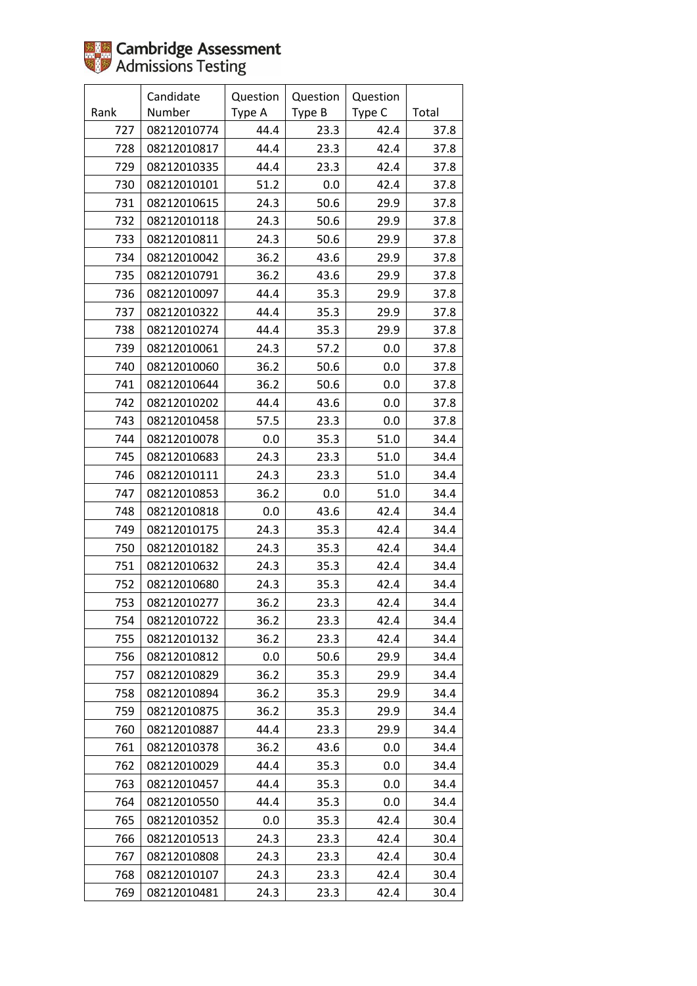|      | Candidate   | Question | Question | Question |       |
|------|-------------|----------|----------|----------|-------|
| Rank | Number      | Type A   | Type B   | Type C   | Total |
| 727  | 08212010774 | 44.4     | 23.3     | 42.4     | 37.8  |
| 728  | 08212010817 | 44.4     | 23.3     | 42.4     | 37.8  |
| 729  | 08212010335 | 44.4     | 23.3     | 42.4     | 37.8  |
| 730  | 08212010101 | 51.2     | 0.0      | 42.4     | 37.8  |
| 731  | 08212010615 | 24.3     | 50.6     | 29.9     | 37.8  |
| 732  | 08212010118 | 24.3     | 50.6     | 29.9     | 37.8  |
| 733  | 08212010811 | 24.3     | 50.6     | 29.9     | 37.8  |
| 734  | 08212010042 | 36.2     | 43.6     | 29.9     | 37.8  |
| 735  | 08212010791 | 36.2     | 43.6     | 29.9     | 37.8  |
| 736  | 08212010097 | 44.4     | 35.3     | 29.9     | 37.8  |
| 737  | 08212010322 | 44.4     | 35.3     | 29.9     | 37.8  |
| 738  | 08212010274 | 44.4     | 35.3     | 29.9     | 37.8  |
| 739  | 08212010061 | 24.3     | 57.2     | 0.0      | 37.8  |
| 740  | 08212010060 | 36.2     | 50.6     | 0.0      | 37.8  |
| 741  | 08212010644 | 36.2     | 50.6     | 0.0      | 37.8  |
| 742  | 08212010202 | 44.4     | 43.6     | 0.0      | 37.8  |
| 743  | 08212010458 | 57.5     | 23.3     | 0.0      | 37.8  |
| 744  | 08212010078 | $0.0\,$  | 35.3     | 51.0     | 34.4  |
| 745  | 08212010683 | 24.3     | 23.3     | 51.0     | 34.4  |
| 746  | 08212010111 | 24.3     | 23.3     | 51.0     | 34.4  |
| 747  | 08212010853 | 36.2     | 0.0      | 51.0     | 34.4  |
| 748  | 08212010818 | 0.0      | 43.6     | 42.4     | 34.4  |
| 749  | 08212010175 | 24.3     | 35.3     | 42.4     | 34.4  |
| 750  | 08212010182 | 24.3     | 35.3     | 42.4     | 34.4  |
| 751  | 08212010632 | 24.3     | 35.3     | 42.4     | 34.4  |
| 752  | 08212010680 | 24.3     | 35.3     | 42.4     | 34.4  |
| 753  | 08212010277 | 36.2     | 23.3     | 42.4     | 34.4  |
| 754  | 08212010722 | 36.2     | 23.3     | 42.4     | 34.4  |
| 755  | 08212010132 | 36.2     | 23.3     | 42.4     | 34.4  |
| 756  | 08212010812 | 0.0      | 50.6     | 29.9     | 34.4  |
| 757  | 08212010829 | 36.2     | 35.3     | 29.9     | 34.4  |
| 758  | 08212010894 | 36.2     | 35.3     | 29.9     | 34.4  |
| 759  | 08212010875 | 36.2     | 35.3     | 29.9     | 34.4  |
| 760  | 08212010887 | 44.4     | 23.3     | 29.9     | 34.4  |
| 761  | 08212010378 | 36.2     | 43.6     | 0.0      | 34.4  |
| 762  | 08212010029 | 44.4     | 35.3     | 0.0      | 34.4  |
| 763  | 08212010457 | 44.4     | 35.3     | 0.0      | 34.4  |
| 764  | 08212010550 | 44.4     | 35.3     | 0.0      | 34.4  |
| 765  | 08212010352 | 0.0      | 35.3     | 42.4     | 30.4  |
| 766  | 08212010513 | 24.3     | 23.3     | 42.4     | 30.4  |
| 767  | 08212010808 | 24.3     | 23.3     | 42.4     | 30.4  |
| 768  | 08212010107 | 24.3     | 23.3     | 42.4     | 30.4  |
| 769  | 08212010481 | 24.3     | 23.3     | 42.4     | 30.4  |